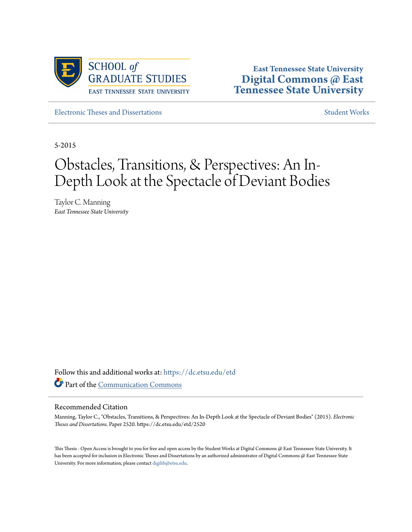

**East Tennessee State University [Digital Commons @ East](https://dc.etsu.edu?utm_source=dc.etsu.edu%2Fetd%2F2520&utm_medium=PDF&utm_campaign=PDFCoverPages) [Tennessee State University](https://dc.etsu.edu?utm_source=dc.etsu.edu%2Fetd%2F2520&utm_medium=PDF&utm_campaign=PDFCoverPages)**

[Electronic Theses and Dissertations](https://dc.etsu.edu/etd?utm_source=dc.etsu.edu%2Fetd%2F2520&utm_medium=PDF&utm_campaign=PDFCoverPages) [Student Works](https://dc.etsu.edu/student-works?utm_source=dc.etsu.edu%2Fetd%2F2520&utm_medium=PDF&utm_campaign=PDFCoverPages) Student Works Student Works

5-2015

# Obstacles, Transitions, & Perspectives: An In-Depth Look at the Spectacle of Deviant Bodies

Taylor C. Manning *East Tennessee State University*

Follow this and additional works at: [https://dc.etsu.edu/etd](https://dc.etsu.edu/etd?utm_source=dc.etsu.edu%2Fetd%2F2520&utm_medium=PDF&utm_campaign=PDFCoverPages) Part of the [Communication Commons](http://network.bepress.com/hgg/discipline/325?utm_source=dc.etsu.edu%2Fetd%2F2520&utm_medium=PDF&utm_campaign=PDFCoverPages)

#### Recommended Citation

Manning, Taylor C., "Obstacles, Transitions, & Perspectives: An In-Depth Look at the Spectacle of Deviant Bodies" (2015). *Electronic Theses and Dissertations.* Paper 2520. https://dc.etsu.edu/etd/2520

This Thesis - Open Access is brought to you for free and open access by the Student Works at Digital Commons @ East Tennessee State University. It has been accepted for inclusion in Electronic Theses and Dissertations by an authorized administrator of Digital Commons @ East Tennessee State University. For more information, please contact [digilib@etsu.edu.](mailto:digilib@etsu.edu)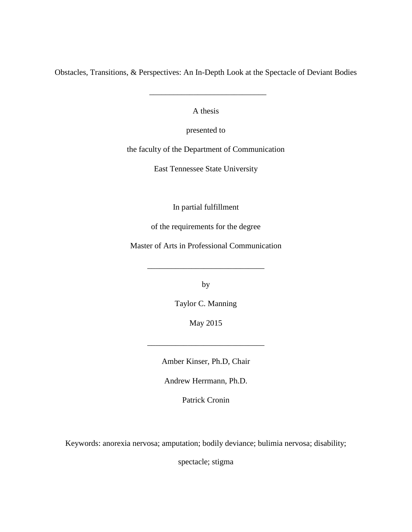Obstacles, Transitions, & Perspectives: An In-Depth Look at the Spectacle of Deviant Bodies

 $\frac{1}{\sqrt{2}}$  ,  $\frac{1}{\sqrt{2}}$  ,  $\frac{1}{\sqrt{2}}$  ,  $\frac{1}{\sqrt{2}}$  ,  $\frac{1}{\sqrt{2}}$  ,  $\frac{1}{\sqrt{2}}$  ,  $\frac{1}{\sqrt{2}}$  ,  $\frac{1}{\sqrt{2}}$  ,  $\frac{1}{\sqrt{2}}$  ,  $\frac{1}{\sqrt{2}}$  ,  $\frac{1}{\sqrt{2}}$  ,  $\frac{1}{\sqrt{2}}$  ,  $\frac{1}{\sqrt{2}}$  ,  $\frac{1}{\sqrt{2}}$  ,  $\frac{1}{\sqrt{2}}$ 

A thesis

presented to

the faculty of the Department of Communication

East Tennessee State University

In partial fulfillment

of the requirements for the degree

Master of Arts in Professional Communication

\_\_\_\_\_\_\_\_\_\_\_\_\_\_\_\_\_\_\_\_\_\_\_\_\_\_\_\_\_

by

Taylor C. Manning

May 2015

\_\_\_\_\_\_\_\_\_\_\_\_\_\_\_\_\_\_\_\_\_\_\_\_\_\_\_\_\_

Amber Kinser, Ph.D, Chair

Andrew Herrmann, Ph.D.

Patrick Cronin

Keywords: anorexia nervosa; amputation; bodily deviance; bulimia nervosa; disability;

spectacle; stigma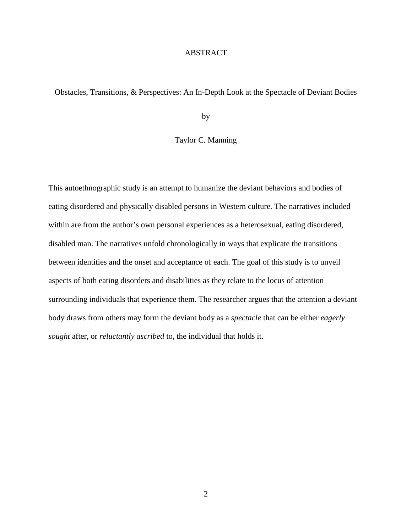# ABSTRACT

Obstacles, Transitions, & Perspectives: An In-Depth Look at the Spectacle of Deviant Bodies

by

# Taylor C. Manning

This autoethnographic study is an attempt to humanize the deviant behaviors and bodies of eating disordered and physically disabled persons in Western culture. The narratives included within are from the author's own personal experiences as a heterosexual, eating disordered, disabled man. The narratives unfold chronologically in ways that explicate the transitions between identities and the onset and acceptance of each. The goal of this study is to unveil aspects of both eating disorders and disabilities as they relate to the locus of attention surrounding individuals that experience them. The researcher argues that the attention a deviant body draws from others may form the deviant body as a *spectacle* that can be either *eagerly sought* after, or *reluctantly ascribed* to, the individual that holds it.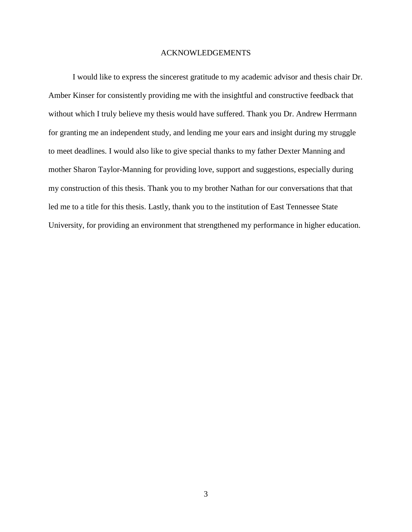# ACKNOWLEDGEMENTS

I would like to express the sincerest gratitude to my academic advisor and thesis chair Dr. Amber Kinser for consistently providing me with the insightful and constructive feedback that without which I truly believe my thesis would have suffered. Thank you Dr. Andrew Herrmann for granting me an independent study, and lending me your ears and insight during my struggle to meet deadlines. I would also like to give special thanks to my father Dexter Manning and mother Sharon Taylor-Manning for providing love, support and suggestions, especially during my construction of this thesis. Thank you to my brother Nathan for our conversations that that led me to a title for this thesis. Lastly, thank you to the institution of East Tennessee State University, for providing an environment that strengthened my performance in higher education.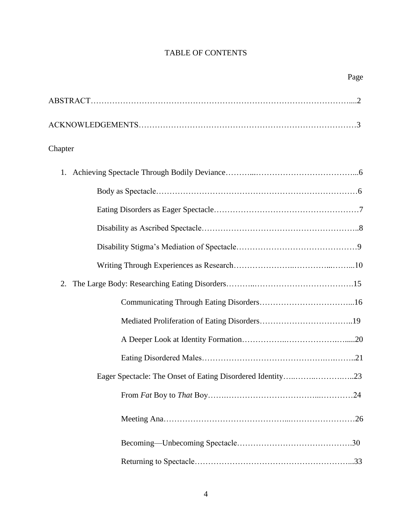# TABLE OF CONTENTS

| Chapter |     |
|---------|-----|
|         |     |
|         |     |
|         |     |
|         |     |
|         |     |
|         |     |
| 2.      |     |
|         |     |
|         |     |
|         |     |
|         |     |
|         |     |
|         | .24 |
|         |     |
|         |     |
|         |     |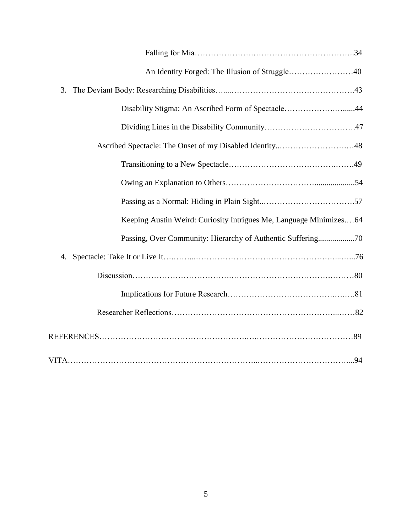| An Identity Forged: The Illusion of Struggle40                     |  |
|--------------------------------------------------------------------|--|
| 3.                                                                 |  |
| Disability Stigma: An Ascribed Form of Spectacle44                 |  |
|                                                                    |  |
|                                                                    |  |
|                                                                    |  |
|                                                                    |  |
|                                                                    |  |
| Keeping Austin Weird: Curiosity Intrigues Me, Language Minimizes64 |  |
| Passing, Over Community: Hierarchy of Authentic Suffering70        |  |
| 4.                                                                 |  |
|                                                                    |  |
|                                                                    |  |
|                                                                    |  |
|                                                                    |  |
|                                                                    |  |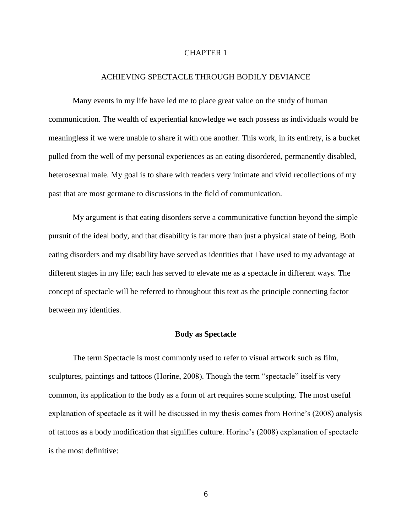# CHAPTER 1

## ACHIEVING SPECTACLE THROUGH BODILY DEVIANCE

Many events in my life have led me to place great value on the study of human communication. The wealth of experiential knowledge we each possess as individuals would be meaningless if we were unable to share it with one another. This work, in its entirety, is a bucket pulled from the well of my personal experiences as an eating disordered, permanently disabled, heterosexual male. My goal is to share with readers very intimate and vivid recollections of my past that are most germane to discussions in the field of communication.

My argument is that eating disorders serve a communicative function beyond the simple pursuit of the ideal body, and that disability is far more than just a physical state of being. Both eating disorders and my disability have served as identities that I have used to my advantage at different stages in my life; each has served to elevate me as a spectacle in different ways. The concept of spectacle will be referred to throughout this text as the principle connecting factor between my identities.

#### **Body as Spectacle**

The term Spectacle is most commonly used to refer to visual artwork such as film, sculptures, paintings and tattoos (Horine, 2008). Though the term "spectacle" itself is very common, its application to the body as a form of art requires some sculpting. The most useful explanation of spectacle as it will be discussed in my thesis comes from Horine's (2008) analysis of tattoos as a body modification that signifies culture. Horine's (2008) explanation of spectacle is the most definitive: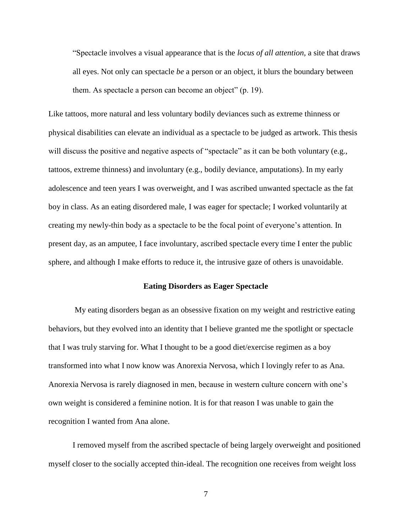"Spectacle involves a visual appearance that is the *locus of all attention,* a site that draws all eyes. Not only can spectacle *be* a person or an object, it blurs the boundary between them. As spectacle a person can become an object" (p. 19).

Like tattoos, more natural and less voluntary bodily deviances such as extreme thinness or physical disabilities can elevate an individual as a spectacle to be judged as artwork. This thesis will discuss the positive and negative aspects of "spectacle" as it can be both voluntary (e.g., tattoos, extreme thinness) and involuntary (e.g., bodily deviance, amputations). In my early adolescence and teen years I was overweight, and I was ascribed unwanted spectacle as the fat boy in class. As an eating disordered male, I was eager for spectacle; I worked voluntarily at creating my newly-thin body as a spectacle to be the focal point of everyone's attention. In present day, as an amputee, I face involuntary, ascribed spectacle every time I enter the public sphere, and although I make efforts to reduce it, the intrusive gaze of others is unavoidable.

## **Eating Disorders as Eager Spectacle**

My eating disorders began as an obsessive fixation on my weight and restrictive eating behaviors, but they evolved into an identity that I believe granted me the spotlight or spectacle that I was truly starving for. What I thought to be a good diet/exercise regimen as a boy transformed into what I now know was Anorexia Nervosa, which I lovingly refer to as Ana. Anorexia Nervosa is rarely diagnosed in men, because in western culture concern with one's own weight is considered a feminine notion. It is for that reason I was unable to gain the recognition I wanted from Ana alone.

I removed myself from the ascribed spectacle of being largely overweight and positioned myself closer to the socially accepted thin-ideal. The recognition one receives from weight loss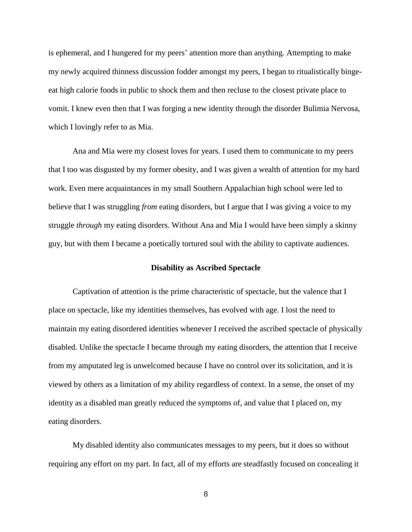is ephemeral, and I hungered for my peers' attention more than anything. Attempting to make my newly acquired thinness discussion fodder amongst my peers, I began to ritualistically bingeeat high calorie foods in public to shock them and then recluse to the closest private place to vomit. I knew even then that I was forging a new identity through the disorder Bulimia Nervosa, which I lovingly refer to as Mia.

Ana and Mia were my closest loves for years. I used them to communicate to my peers that I too was disgusted by my former obesity, and I was given a wealth of attention for my hard work. Even mere acquaintances in my small Southern Appalachian high school were led to believe that I was struggling *from* eating disorders, but I argue that I was giving a voice to my struggle *through* my eating disorders. Without Ana and Mia I would have been simply a skinny guy, but with them I became a poetically tortured soul with the ability to captivate audiences.

# **Disability as Ascribed Spectacle**

Captivation of attention is the prime characteristic of spectacle, but the valence that I place on spectacle, like my identities themselves, has evolved with age. I lost the need to maintain my eating disordered identities whenever I received the ascribed spectacle of physically disabled. Unlike the spectacle I became through my eating disorders, the attention that I receive from my amputated leg is unwelcomed because I have no control over its solicitation, and it is viewed by others as a limitation of my ability regardless of context. In a sense, the onset of my identity as a disabled man greatly reduced the symptoms of, and value that I placed on, my eating disorders.

My disabled identity also communicates messages to my peers, but it does so without requiring any effort on my part. In fact, all of my efforts are steadfastly focused on concealing it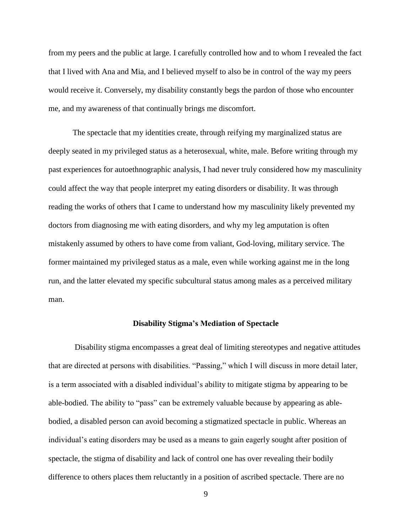from my peers and the public at large. I carefully controlled how and to whom I revealed the fact that I lived with Ana and Mia, and I believed myself to also be in control of the way my peers would receive it. Conversely, my disability constantly begs the pardon of those who encounter me, and my awareness of that continually brings me discomfort.

The spectacle that my identities create, through reifying my marginalized status are deeply seated in my privileged status as a heterosexual, white, male. Before writing through my past experiences for autoethnographic analysis, I had never truly considered how my masculinity could affect the way that people interpret my eating disorders or disability. It was through reading the works of others that I came to understand how my masculinity likely prevented my doctors from diagnosing me with eating disorders, and why my leg amputation is often mistakenly assumed by others to have come from valiant, God-loving, military service. The former maintained my privileged status as a male, even while working against me in the long run, and the latter elevated my specific subcultural status among males as a perceived military man.

#### **Disability Stigma's Mediation of Spectacle**

Disability stigma encompasses a great deal of limiting stereotypes and negative attitudes that are directed at persons with disabilities. "Passing," which I will discuss in more detail later, is a term associated with a disabled individual's ability to mitigate stigma by appearing to be able-bodied. The ability to "pass" can be extremely valuable because by appearing as ablebodied, a disabled person can avoid becoming a stigmatized spectacle in public. Whereas an individual's eating disorders may be used as a means to gain eagerly sought after position of spectacle, the stigma of disability and lack of control one has over revealing their bodily difference to others places them reluctantly in a position of ascribed spectacle. There are no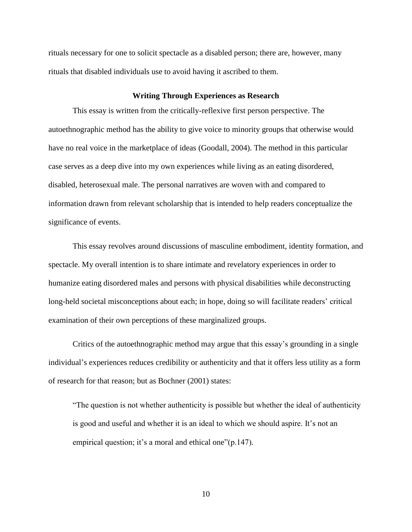rituals necessary for one to solicit spectacle as a disabled person; there are, however, many rituals that disabled individuals use to avoid having it ascribed to them.

#### **Writing Through Experiences as Research**

This essay is written from the critically-reflexive first person perspective. The autoethnographic method has the ability to give voice to minority groups that otherwise would have no real voice in the marketplace of ideas (Goodall, 2004). The method in this particular case serves as a deep dive into my own experiences while living as an eating disordered, disabled, heterosexual male. The personal narratives are woven with and compared to information drawn from relevant scholarship that is intended to help readers conceptualize the significance of events.

This essay revolves around discussions of masculine embodiment, identity formation, and spectacle. My overall intention is to share intimate and revelatory experiences in order to humanize eating disordered males and persons with physical disabilities while deconstructing long-held societal misconceptions about each; in hope, doing so will facilitate readers' critical examination of their own perceptions of these marginalized groups.

Critics of the autoethnographic method may argue that this essay's grounding in a single individual's experiences reduces credibility or authenticity and that it offers less utility as a form of research for that reason; but as Bochner (2001) states:

"The question is not whether authenticity is possible but whether the ideal of authenticity is good and useful and whether it is an ideal to which we should aspire. It's not an empirical question; it's a moral and ethical one"(p.147).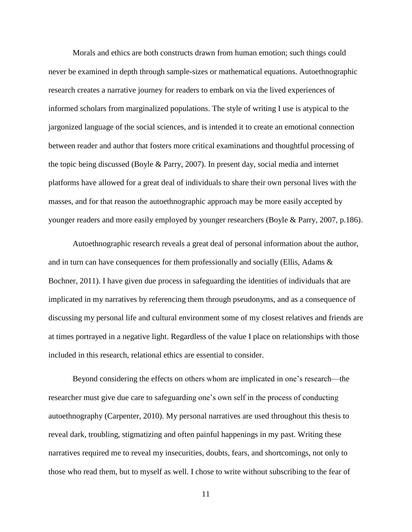Morals and ethics are both constructs drawn from human emotion; such things could never be examined in depth through sample-sizes or mathematical equations. Autoethnographic research creates a narrative journey for readers to embark on via the lived experiences of informed scholars from marginalized populations. The style of writing I use is atypical to the jargonized language of the social sciences, and is intended it to create an emotional connection between reader and author that fosters more critical examinations and thoughtful processing of the topic being discussed (Boyle & Parry, 2007). In present day, social media and internet platforms have allowed for a great deal of individuals to share their own personal lives with the masses, and for that reason the autoethnographic approach may be more easily accepted by younger readers and more easily employed by younger researchers (Boyle & Parry, 2007, p.186).

Autoethnographic research reveals a great deal of personal information about the author, and in turn can have consequences for them professionally and socially (Ellis, Adams & Bochner, 2011). I have given due process in safeguarding the identities of individuals that are implicated in my narratives by referencing them through pseudonyms, and as a consequence of discussing my personal life and cultural environment some of my closest relatives and friends are at times portrayed in a negative light. Regardless of the value I place on relationships with those included in this research, relational ethics are essential to consider.

Beyond considering the effects on others whom are implicated in one's research—the researcher must give due care to safeguarding one's own self in the process of conducting autoethnography (Carpenter, 2010). My personal narratives are used throughout this thesis to reveal dark, troubling, stigmatizing and often painful happenings in my past. Writing these narratives required me to reveal my insecurities, doubts, fears, and shortcomings, not only to those who read them, but to myself as well. I chose to write without subscribing to the fear of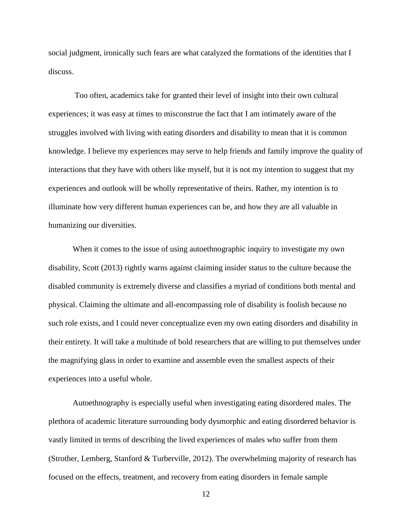social judgment, ironically such fears are what catalyzed the formations of the identities that I discuss.

Too often, academics take for granted their level of insight into their own cultural experiences; it was easy at times to misconstrue the fact that I am intimately aware of the struggles involved with living with eating disorders and disability to mean that it is common knowledge. I believe my experiences may serve to help friends and family improve the quality of interactions that they have with others like myself, but it is not my intention to suggest that my experiences and outlook will be wholly representative of theirs. Rather, my intention is to illuminate how very different human experiences can be, and how they are all valuable in humanizing our diversities.

When it comes to the issue of using autoethnographic inquiry to investigate my own disability, Scott (2013) rightly warns against claiming insider status to the culture because the disabled community is extremely diverse and classifies a myriad of conditions both mental and physical. Claiming the ultimate and all-encompassing role of disability is foolish because no such role exists, and I could never conceptualize even my own eating disorders and disability in their entirety. It will take a multitude of bold researchers that are willing to put themselves under the magnifying glass in order to examine and assemble even the smallest aspects of their experiences into a useful whole.

Autoethnography is especially useful when investigating eating disordered males. The plethora of academic literature surrounding body dysmorphic and eating disordered behavior is vastly limited in terms of describing the lived experiences of males who suffer from them (Strother, Lemberg, Stanford & Turberville, 2012). The overwhelming majority of research has focused on the effects, treatment, and recovery from eating disorders in female sample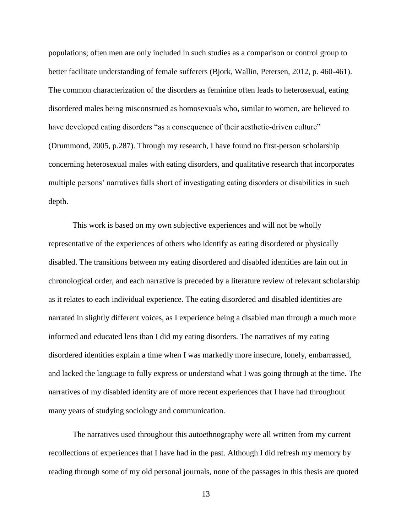populations; often men are only included in such studies as a comparison or control group to better facilitate understanding of female sufferers (Bjork, Wallin, Petersen, 2012, p. 460-461). The common characterization of the disorders as feminine often leads to heterosexual, eating disordered males being misconstrued as homosexuals who, similar to women, are believed to have developed eating disorders "as a consequence of their aesthetic-driven culture" (Drummond, 2005, p.287). Through my research, I have found no first-person scholarship concerning heterosexual males with eating disorders, and qualitative research that incorporates multiple persons' narratives falls short of investigating eating disorders or disabilities in such depth.

This work is based on my own subjective experiences and will not be wholly representative of the experiences of others who identify as eating disordered or physically disabled. The transitions between my eating disordered and disabled identities are lain out in chronological order, and each narrative is preceded by a literature review of relevant scholarship as it relates to each individual experience. The eating disordered and disabled identities are narrated in slightly different voices, as I experience being a disabled man through a much more informed and educated lens than I did my eating disorders. The narratives of my eating disordered identities explain a time when I was markedly more insecure, lonely, embarrassed, and lacked the language to fully express or understand what I was going through at the time. The narratives of my disabled identity are of more recent experiences that I have had throughout many years of studying sociology and communication.

The narratives used throughout this autoethnography were all written from my current recollections of experiences that I have had in the past. Although I did refresh my memory by reading through some of my old personal journals, none of the passages in this thesis are quoted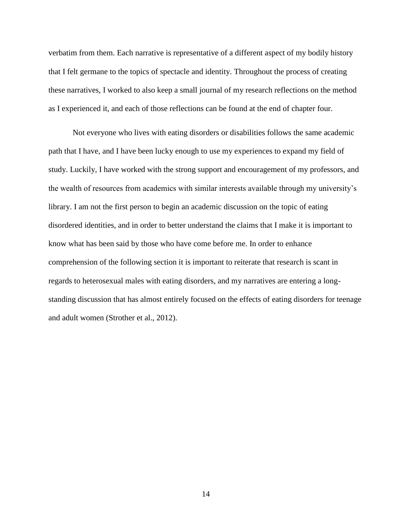verbatim from them. Each narrative is representative of a different aspect of my bodily history that I felt germane to the topics of spectacle and identity. Throughout the process of creating these narratives, I worked to also keep a small journal of my research reflections on the method as I experienced it, and each of those reflections can be found at the end of chapter four.

Not everyone who lives with eating disorders or disabilities follows the same academic path that I have, and I have been lucky enough to use my experiences to expand my field of study. Luckily, I have worked with the strong support and encouragement of my professors, and the wealth of resources from academics with similar interests available through my university's library. I am not the first person to begin an academic discussion on the topic of eating disordered identities, and in order to better understand the claims that I make it is important to know what has been said by those who have come before me. In order to enhance comprehension of the following section it is important to reiterate that research is scant in regards to heterosexual males with eating disorders, and my narratives are entering a longstanding discussion that has almost entirely focused on the effects of eating disorders for teenage and adult women (Strother et al., 2012).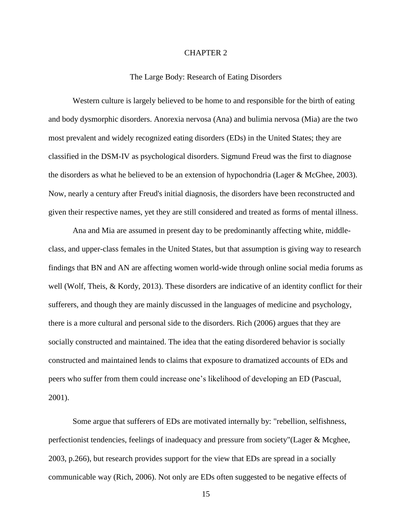# CHAPTER 2

#### The Large Body: Research of Eating Disorders

Western culture is largely believed to be home to and responsible for the birth of eating and body dysmorphic disorders. Anorexia nervosa (Ana) and bulimia nervosa (Mia) are the two most prevalent and widely recognized eating disorders (EDs) in the United States; they are classified in the DSM-IV as psychological disorders. Sigmund Freud was the first to diagnose the disorders as what he believed to be an extension of hypochondria (Lager & McGhee, 2003). Now, nearly a century after Freud's initial diagnosis, the disorders have been reconstructed and given their respective names, yet they are still considered and treated as forms of mental illness.

Ana and Mia are assumed in present day to be predominantly affecting white, middleclass, and upper-class females in the United States, but that assumption is giving way to research findings that BN and AN are affecting women world-wide through online social media forums as well (Wolf, Theis, & Kordy, 2013). These disorders are indicative of an identity conflict for their sufferers, and though they are mainly discussed in the languages of medicine and psychology, there is a more cultural and personal side to the disorders. Rich (2006) argues that they are socially constructed and maintained. The idea that the eating disordered behavior is socially constructed and maintained lends to claims that exposure to dramatized accounts of EDs and peers who suffer from them could increase one's likelihood of developing an ED (Pascual, 2001).

Some argue that sufferers of EDs are motivated internally by: "rebellion, selfishness, perfectionist tendencies, feelings of inadequacy and pressure from society"(Lager & Mcghee, 2003, p.266), but research provides support for the view that EDs are spread in a socially communicable way (Rich, 2006). Not only are EDs often suggested to be negative effects of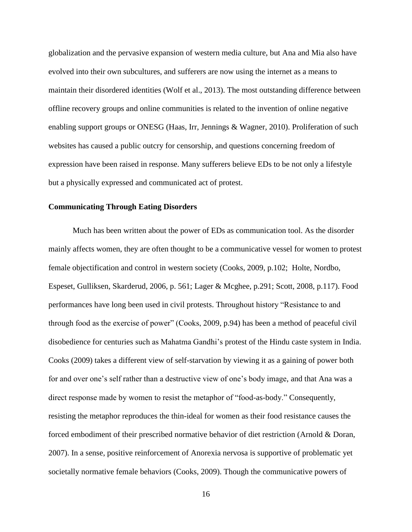globalization and the pervasive expansion of western media culture, but Ana and Mia also have evolved into their own subcultures, and sufferers are now using the internet as a means to maintain their disordered identities (Wolf et al., 2013). The most outstanding difference between offline recovery groups and online communities is related to the invention of online negative enabling support groups or ONESG (Haas, Irr, Jennings & Wagner, 2010). Proliferation of such websites has caused a public outcry for censorship, and questions concerning freedom of expression have been raised in response. Many sufferers believe EDs to be not only a lifestyle but a physically expressed and communicated act of protest.

# **Communicating Through Eating Disorders**

Much has been written about the power of EDs as communication tool. As the disorder mainly affects women, they are often thought to be a communicative vessel for women to protest female objectification and control in western society (Cooks, 2009, p.102; Holte, Nordbo, Espeset, Gulliksen, Skarderud, 2006, p. 561; Lager & Mcghee, p.291; Scott, 2008, p.117). Food performances have long been used in civil protests. Throughout history "Resistance to and through food as the exercise of power" (Cooks, 2009, p.94) has been a method of peaceful civil disobedience for centuries such as Mahatma Gandhi's protest of the Hindu caste system in India. Cooks (2009) takes a different view of self-starvation by viewing it as a gaining of power both for and over one's self rather than a destructive view of one's body image, and that Ana was a direct response made by women to resist the metaphor of "food-as-body." Consequently, resisting the metaphor reproduces the thin-ideal for women as their food resistance causes the forced embodiment of their prescribed normative behavior of diet restriction (Arnold & Doran, 2007). In a sense, positive reinforcement of Anorexia nervosa is supportive of problematic yet societally normative female behaviors (Cooks, 2009). Though the communicative powers of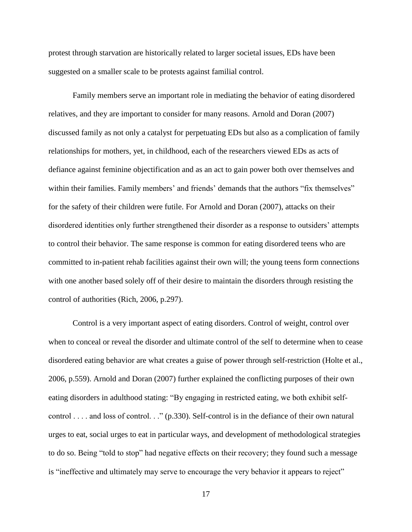protest through starvation are historically related to larger societal issues, EDs have been suggested on a smaller scale to be protests against familial control.

Family members serve an important role in mediating the behavior of eating disordered relatives, and they are important to consider for many reasons. Arnold and Doran (2007) discussed family as not only a catalyst for perpetuating EDs but also as a complication of family relationships for mothers, yet, in childhood, each of the researchers viewed EDs as acts of defiance against feminine objectification and as an act to gain power both over themselves and within their families. Family members' and friends' demands that the authors "fix themselves" for the safety of their children were futile. For Arnold and Doran (2007), attacks on their disordered identities only further strengthened their disorder as a response to outsiders' attempts to control their behavior. The same response is common for eating disordered teens who are committed to in-patient rehab facilities against their own will; the young teens form connections with one another based solely off of their desire to maintain the disorders through resisting the control of authorities (Rich, 2006, p.297).

Control is a very important aspect of eating disorders. Control of weight, control over when to conceal or reveal the disorder and ultimate control of the self to determine when to cease disordered eating behavior are what creates a guise of power through self-restriction (Holte et al., 2006, p.559). Arnold and Doran (2007) further explained the conflicting purposes of their own eating disorders in adulthood stating: "By engaging in restricted eating, we both exhibit selfcontrol . . . . and loss of control. . ." (p.330). Self-control is in the defiance of their own natural urges to eat, social urges to eat in particular ways, and development of methodological strategies to do so. Being "told to stop" had negative effects on their recovery; they found such a message is "ineffective and ultimately may serve to encourage the very behavior it appears to reject"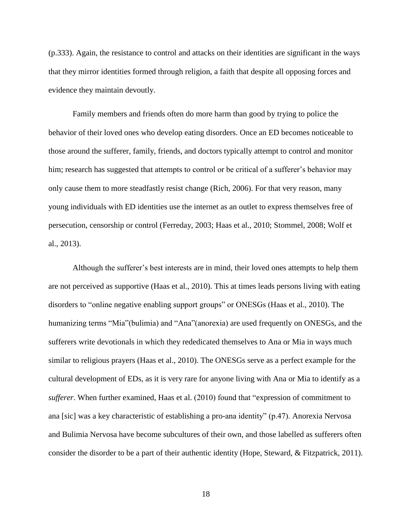(p.333). Again, the resistance to control and attacks on their identities are significant in the ways that they mirror identities formed through religion, a faith that despite all opposing forces and evidence they maintain devoutly.

Family members and friends often do more harm than good by trying to police the behavior of their loved ones who develop eating disorders. Once an ED becomes noticeable to those around the sufferer, family, friends, and doctors typically attempt to control and monitor him; research has suggested that attempts to control or be critical of a sufferer's behavior may only cause them to more steadfastly resist change (Rich, 2006). For that very reason, many young individuals with ED identities use the internet as an outlet to express themselves free of persecution, censorship or control (Ferreday, 2003; Haas et al., 2010; Stommel, 2008; Wolf et al., 2013).

Although the sufferer's best interests are in mind, their loved ones attempts to help them are not perceived as supportive (Haas et al., 2010). This at times leads persons living with eating disorders to "online negative enabling support groups" or ONESGs (Haas et al., 2010). The humanizing terms "Mia"(bulimia) and "Ana"(anorexia) are used frequently on ONESGs, and the sufferers write devotionals in which they rededicated themselves to Ana or Mia in ways much similar to religious prayers (Haas et al., 2010). The ONESGs serve as a perfect example for the cultural development of EDs, as it is very rare for anyone living with Ana or Mia to identify as a *sufferer*. When further examined, Haas et al. (2010) found that "expression of commitment to ana [sic] was a key characteristic of establishing a pro-ana identity" (p.47). Anorexia Nervosa and Bulimia Nervosa have become subcultures of their own, and those labelled as sufferers often consider the disorder to be a part of their authentic identity (Hope, Steward, & Fitzpatrick, 2011).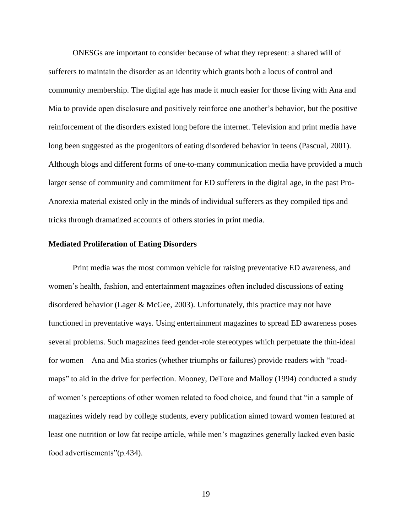ONESGs are important to consider because of what they represent: a shared will of sufferers to maintain the disorder as an identity which grants both a locus of control and community membership. The digital age has made it much easier for those living with Ana and Mia to provide open disclosure and positively reinforce one another's behavior, but the positive reinforcement of the disorders existed long before the internet. Television and print media have long been suggested as the progenitors of eating disordered behavior in teens (Pascual, 2001). Although blogs and different forms of one-to-many communication media have provided a much larger sense of community and commitment for ED sufferers in the digital age, in the past Pro-Anorexia material existed only in the minds of individual sufferers as they compiled tips and tricks through dramatized accounts of others stories in print media.

# **Mediated Proliferation of Eating Disorders**

Print media was the most common vehicle for raising preventative ED awareness, and women's health, fashion, and entertainment magazines often included discussions of eating disordered behavior (Lager & McGee, 2003). Unfortunately, this practice may not have functioned in preventative ways. Using entertainment magazines to spread ED awareness poses several problems. Such magazines feed gender-role stereotypes which perpetuate the thin-ideal for women—Ana and Mia stories (whether triumphs or failures) provide readers with "roadmaps" to aid in the drive for perfection. Mooney, DeTore and Malloy (1994) conducted a study of women's perceptions of other women related to food choice, and found that "in a sample of magazines widely read by college students, every publication aimed toward women featured at least one nutrition or low fat recipe article, while men's magazines generally lacked even basic food advertisements"(p.434).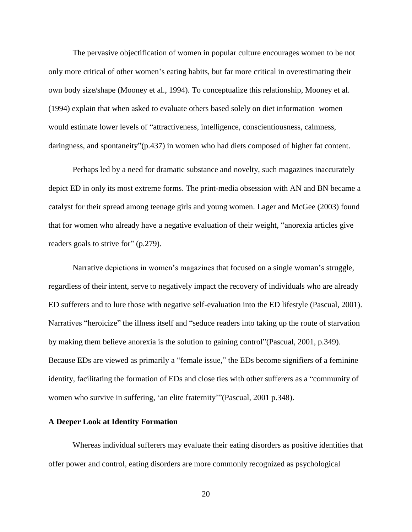The pervasive objectification of women in popular culture encourages women to be not only more critical of other women's eating habits, but far more critical in overestimating their own body size/shape (Mooney et al., 1994). To conceptualize this relationship, Mooney et al. (1994) explain that when asked to evaluate others based solely on diet information women would estimate lower levels of "attractiveness, intelligence, conscientiousness, calmness, daringness, and spontaneity"(p.437) in women who had diets composed of higher fat content.

Perhaps led by a need for dramatic substance and novelty, such magazines inaccurately depict ED in only its most extreme forms. The print-media obsession with AN and BN became a catalyst for their spread among teenage girls and young women. Lager and McGee (2003) found that for women who already have a negative evaluation of their weight, "anorexia articles give readers goals to strive for" (p.279).

Narrative depictions in women's magazines that focused on a single woman's struggle, regardless of their intent, serve to negatively impact the recovery of individuals who are already ED sufferers and to lure those with negative self-evaluation into the ED lifestyle (Pascual, 2001). Narratives "heroicize" the illness itself and "seduce readers into taking up the route of starvation by making them believe anorexia is the solution to gaining control"(Pascual, 2001, p.349). Because EDs are viewed as primarily a "female issue," the EDs become signifiers of a feminine identity, facilitating the formation of EDs and close ties with other sufferers as a "community of women who survive in suffering, 'an elite fraternity'"(Pascual, 2001 p.348).

# **A Deeper Look at Identity Formation**

Whereas individual sufferers may evaluate their eating disorders as positive identities that offer power and control, eating disorders are more commonly recognized as psychological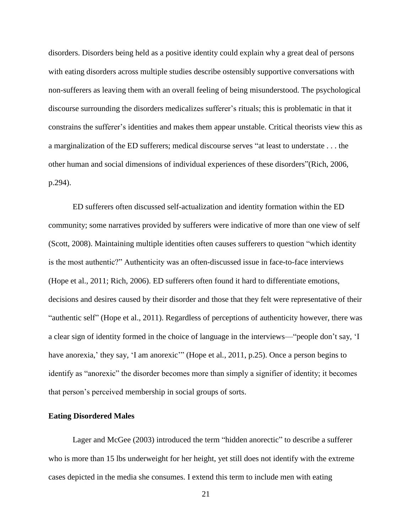disorders. Disorders being held as a positive identity could explain why a great deal of persons with eating disorders across multiple studies describe ostensibly supportive conversations with non-sufferers as leaving them with an overall feeling of being misunderstood. The psychological discourse surrounding the disorders medicalizes sufferer's rituals; this is problematic in that it constrains the sufferer's identities and makes them appear unstable. Critical theorists view this as a marginalization of the ED sufferers; medical discourse serves "at least to understate . . . the other human and social dimensions of individual experiences of these disorders"(Rich, 2006, p.294).

ED sufferers often discussed self-actualization and identity formation within the ED community; some narratives provided by sufferers were indicative of more than one view of self (Scott, 2008). Maintaining multiple identities often causes sufferers to question "which identity is the most authentic?" Authenticity was an often-discussed issue in face-to-face interviews (Hope et al., 2011; Rich, 2006). ED sufferers often found it hard to differentiate emotions, decisions and desires caused by their disorder and those that they felt were representative of their "authentic self" (Hope et al., 2011). Regardless of perceptions of authenticity however, there was a clear sign of identity formed in the choice of language in the interviews—"people don't say, 'I have anorexia,' they say, 'I am anorexic'" (Hope et al., 2011, p.25). Once a person begins to identify as "anorexic" the disorder becomes more than simply a signifier of identity; it becomes that person's perceived membership in social groups of sorts.

# **Eating Disordered Males**

Lager and McGee (2003) introduced the term "hidden anorectic" to describe a sufferer who is more than 15 lbs underweight for her height, yet still does not identify with the extreme cases depicted in the media she consumes. I extend this term to include men with eating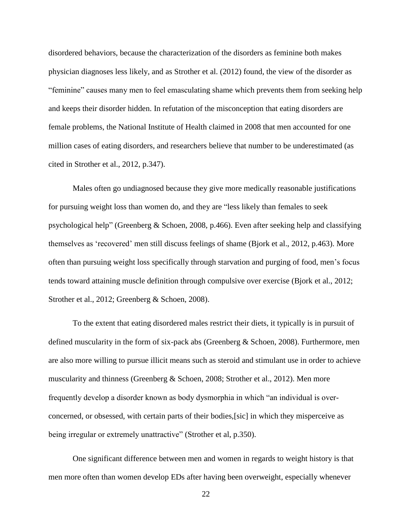disordered behaviors, because the characterization of the disorders as feminine both makes physician diagnoses less likely, and as Strother et al. (2012) found, the view of the disorder as "feminine" causes many men to feel emasculating shame which prevents them from seeking help and keeps their disorder hidden. In refutation of the misconception that eating disorders are female problems, the National Institute of Health claimed in 2008 that men accounted for one million cases of eating disorders, and researchers believe that number to be underestimated (as cited in Strother et al., 2012, p.347).

Males often go undiagnosed because they give more medically reasonable justifications for pursuing weight loss than women do, and they are "less likely than females to seek psychological help" (Greenberg & Schoen, 2008, p.466). Even after seeking help and classifying themselves as 'recovered' men still discuss feelings of shame (Bjork et al., 2012, p.463). More often than pursuing weight loss specifically through starvation and purging of food, men's focus tends toward attaining muscle definition through compulsive over exercise (Bjork et al., 2012; Strother et al., 2012; Greenberg & Schoen, 2008).

To the extent that eating disordered males restrict their diets, it typically is in pursuit of defined muscularity in the form of six-pack abs (Greenberg & Schoen, 2008). Furthermore, men are also more willing to pursue illicit means such as steroid and stimulant use in order to achieve muscularity and thinness (Greenberg & Schoen, 2008; Strother et al., 2012). Men more frequently develop a disorder known as body dysmorphia in which "an individual is overconcerned, or obsessed, with certain parts of their bodies,[sic] in which they misperceive as being irregular or extremely unattractive" (Strother et al, p.350).

One significant difference between men and women in regards to weight history is that men more often than women develop EDs after having been overweight, especially whenever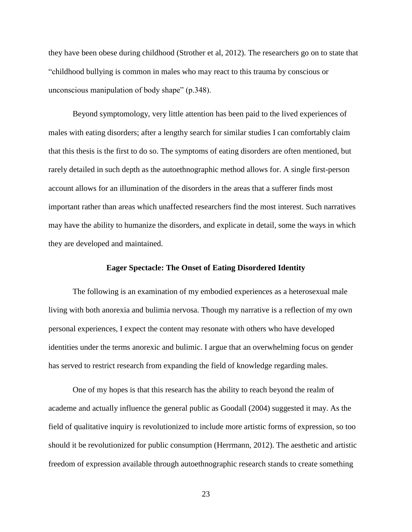they have been obese during childhood (Strother et al, 2012). The researchers go on to state that "childhood bullying is common in males who may react to this trauma by conscious or unconscious manipulation of body shape" (p.348).

Beyond symptomology, very little attention has been paid to the lived experiences of males with eating disorders; after a lengthy search for similar studies I can comfortably claim that this thesis is the first to do so. The symptoms of eating disorders are often mentioned, but rarely detailed in such depth as the autoethnographic method allows for. A single first-person account allows for an illumination of the disorders in the areas that a sufferer finds most important rather than areas which unaffected researchers find the most interest. Such narratives may have the ability to humanize the disorders, and explicate in detail, some the ways in which they are developed and maintained.

#### **Eager Spectacle: The Onset of Eating Disordered Identity**

The following is an examination of my embodied experiences as a heterosexual male living with both anorexia and bulimia nervosa. Though my narrative is a reflection of my own personal experiences, I expect the content may resonate with others who have developed identities under the terms anorexic and bulimic. I argue that an overwhelming focus on gender has served to restrict research from expanding the field of knowledge regarding males.

One of my hopes is that this research has the ability to reach beyond the realm of academe and actually influence the general public as Goodall (2004) suggested it may. As the field of qualitative inquiry is revolutionized to include more artistic forms of expression, so too should it be revolutionized for public consumption (Herrmann, 2012). The aesthetic and artistic freedom of expression available through autoethnographic research stands to create something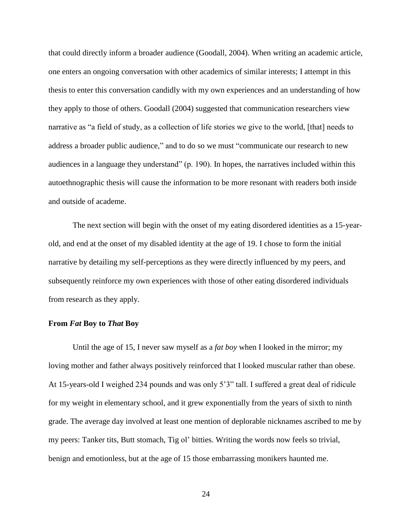that could directly inform a broader audience (Goodall, 2004). When writing an academic article, one enters an ongoing conversation with other academics of similar interests; I attempt in this thesis to enter this conversation candidly with my own experiences and an understanding of how they apply to those of others. Goodall (2004) suggested that communication researchers view narrative as "a field of study, as a collection of life stories we give to the world, [that] needs to address a broader public audience," and to do so we must "communicate our research to new audiences in a language they understand" (p. 190). In hopes, the narratives included within this autoethnographic thesis will cause the information to be more resonant with readers both inside and outside of academe.

The next section will begin with the onset of my eating disordered identities as a 15-yearold, and end at the onset of my disabled identity at the age of 19. I chose to form the initial narrative by detailing my self-perceptions as they were directly influenced by my peers, and subsequently reinforce my own experiences with those of other eating disordered individuals from research as they apply.

# **From** *Fat* **Boy to** *That* **Boy**

Until the age of 15, I never saw myself as a *fat boy* when I looked in the mirror; my loving mother and father always positively reinforced that I looked muscular rather than obese. At 15-years-old I weighed 234 pounds and was only 5'3" tall. I suffered a great deal of ridicule for my weight in elementary school, and it grew exponentially from the years of sixth to ninth grade. The average day involved at least one mention of deplorable nicknames ascribed to me by my peers: Tanker tits, Butt stomach, Tig ol' bitties. Writing the words now feels so trivial, benign and emotionless, but at the age of 15 those embarrassing monikers haunted me.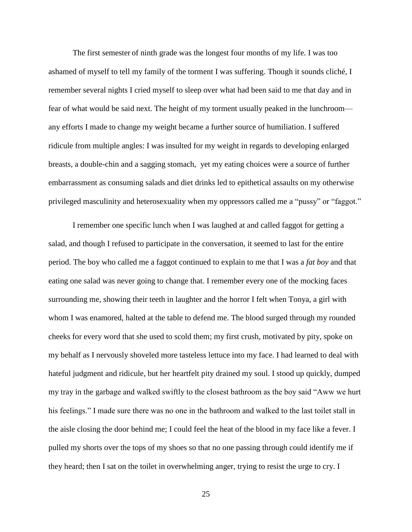The first semester of ninth grade was the longest four months of my life. I was too ashamed of myself to tell my family of the torment I was suffering. Though it sounds cliché, I remember several nights I cried myself to sleep over what had been said to me that day and in fear of what would be said next. The height of my torment usually peaked in the lunchroom any efforts I made to change my weight became a further source of humiliation. I suffered ridicule from multiple angles: I was insulted for my weight in regards to developing enlarged breasts, a double-chin and a sagging stomach, yet my eating choices were a source of further embarrassment as consuming salads and diet drinks led to epithetical assaults on my otherwise privileged masculinity and heterosexuality when my oppressors called me a "pussy" or "faggot."

I remember one specific lunch when I was laughed at and called faggot for getting a salad, and though I refused to participate in the conversation, it seemed to last for the entire period. The boy who called me a faggot continued to explain to me that I was a *fat boy* and that eating one salad was never going to change that. I remember every one of the mocking faces surrounding me, showing their teeth in laughter and the horror I felt when Tonya, a girl with whom I was enamored, halted at the table to defend me. The blood surged through my rounded cheeks for every word that she used to scold them; my first crush, motivated by pity, spoke on my behalf as I nervously shoveled more tasteless lettuce into my face. I had learned to deal with hateful judgment and ridicule, but her heartfelt pity drained my soul. I stood up quickly, dumped my tray in the garbage and walked swiftly to the closest bathroom as the boy said "Aww we hurt his feelings." I made sure there was no one in the bathroom and walked to the last toilet stall in the aisle closing the door behind me; I could feel the heat of the blood in my face like a fever. I pulled my shorts over the tops of my shoes so that no one passing through could identify me if they heard; then I sat on the toilet in overwhelming anger, trying to resist the urge to cry. I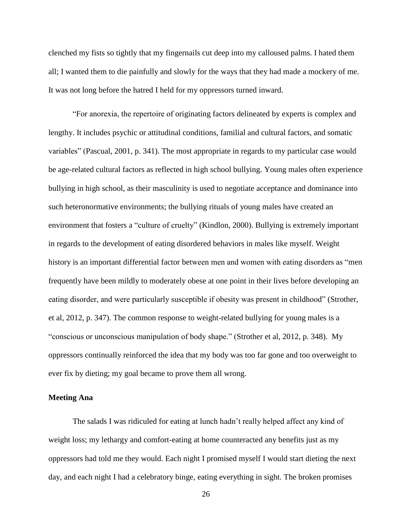clenched my fists so tightly that my fingernails cut deep into my calloused palms. I hated them all; I wanted them to die painfully and slowly for the ways that they had made a mockery of me. It was not long before the hatred I held for my oppressors turned inward.

"For anorexia, the repertoire of originating factors delineated by experts is complex and lengthy. It includes psychic or attitudinal conditions, familial and cultural factors, and somatic variables" (Pascual, 2001, p. 341). The most appropriate in regards to my particular case would be age-related cultural factors as reflected in high school bullying. Young males often experience bullying in high school, as their masculinity is used to negotiate acceptance and dominance into such heteronormative environments; the bullying rituals of young males have created an environment that fosters a "culture of cruelty" (Kindlon, 2000). Bullying is extremely important in regards to the development of eating disordered behaviors in males like myself. Weight history is an important differential factor between men and women with eating disorders as "men frequently have been mildly to moderately obese at one point in their lives before developing an eating disorder, and were particularly susceptible if obesity was present in childhood" (Strother, et al, 2012, p. 347). The common response to weight-related bullying for young males is a "conscious or unconscious manipulation of body shape." (Strother et al, 2012, p. 348). My oppressors continually reinforced the idea that my body was too far gone and too overweight to ever fix by dieting; my goal became to prove them all wrong.

# **Meeting Ana**

The salads I was ridiculed for eating at lunch hadn't really helped affect any kind of weight loss; my lethargy and comfort-eating at home counteracted any benefits just as my oppressors had told me they would. Each night I promised myself I would start dieting the next day, and each night I had a celebratory binge, eating everything in sight. The broken promises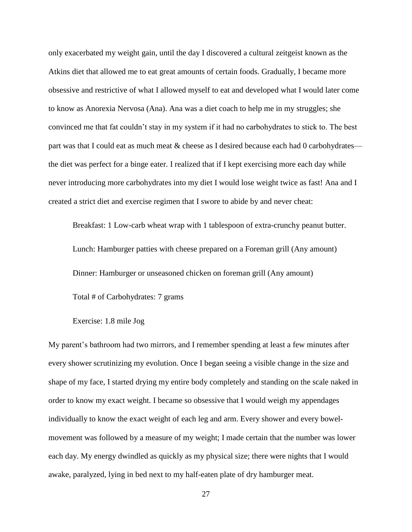only exacerbated my weight gain, until the day I discovered a cultural zeitgeist known as the Atkins diet that allowed me to eat great amounts of certain foods. Gradually, I became more obsessive and restrictive of what I allowed myself to eat and developed what I would later come to know as Anorexia Nervosa (Ana). Ana was a diet coach to help me in my struggles; she convinced me that fat couldn't stay in my system if it had no carbohydrates to stick to. The best part was that I could eat as much meat & cheese as I desired because each had 0 carbohydrates the diet was perfect for a binge eater. I realized that if I kept exercising more each day while never introducing more carbohydrates into my diet I would lose weight twice as fast! Ana and I created a strict diet and exercise regimen that I swore to abide by and never cheat:

Breakfast: 1 Low-carb wheat wrap with 1 tablespoon of extra-crunchy peanut butter. Lunch: Hamburger patties with cheese prepared on a Foreman grill (Any amount) Dinner: Hamburger or unseasoned chicken on foreman grill (Any amount)

Total # of Carbohydrates: 7 grams

Exercise: 1.8 mile Jog

My parent's bathroom had two mirrors, and I remember spending at least a few minutes after every shower scrutinizing my evolution. Once I began seeing a visible change in the size and shape of my face, I started drying my entire body completely and standing on the scale naked in order to know my exact weight. I became so obsessive that I would weigh my appendages individually to know the exact weight of each leg and arm. Every shower and every bowelmovement was followed by a measure of my weight; I made certain that the number was lower each day. My energy dwindled as quickly as my physical size; there were nights that I would awake, paralyzed, lying in bed next to my half-eaten plate of dry hamburger meat.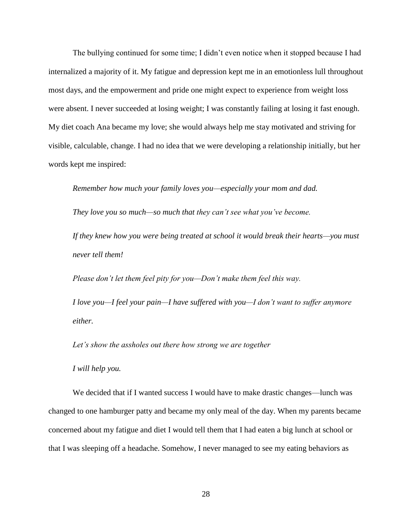The bullying continued for some time; I didn't even notice when it stopped because I had internalized a majority of it. My fatigue and depression kept me in an emotionless lull throughout most days, and the empowerment and pride one might expect to experience from weight loss were absent. I never succeeded at losing weight; I was constantly failing at losing it fast enough. My diet coach Ana became my love; she would always help me stay motivated and striving for visible, calculable, change. I had no idea that we were developing a relationship initially, but her words kept me inspired:

*Remember how much your family loves you—especially your mom and dad.*

*They love you so much—so much that they can't see what you've become.*

*If they knew how you were being treated at school it would break their hearts—you must never tell them!*

*Please don't let them feel pity for you—Don't make them feel this way.*

*I love you—I feel your pain—I have suffered with you—I don't want to suffer anymore either.*

*Let's show the assholes out there how strong we are together*

*I will help you.*

We decided that if I wanted success I would have to make drastic changes—lunch was changed to one hamburger patty and became my only meal of the day. When my parents became concerned about my fatigue and diet I would tell them that I had eaten a big lunch at school or that I was sleeping off a headache. Somehow, I never managed to see my eating behaviors as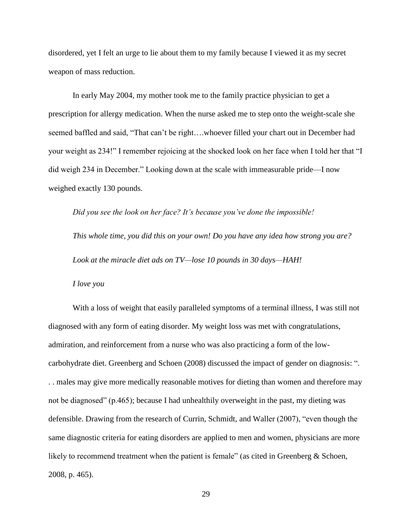disordered, yet I felt an urge to lie about them to my family because I viewed it as my secret weapon of mass reduction.

In early May 2004, my mother took me to the family practice physician to get a prescription for allergy medication. When the nurse asked me to step onto the weight-scale she seemed baffled and said, "That can't be right….whoever filled your chart out in December had your weight as 234!" I remember rejoicing at the shocked look on her face when I told her that "I did weigh 234 in December." Looking down at the scale with immeasurable pride—I now weighed exactly 130 pounds.

*Did you see the look on her face? It's because you've done the impossible!*

*This whole time, you did this on your own! Do you have any idea how strong you are? Look at the miracle diet ads on TV—lose 10 pounds in 30 days—HAH!*

*I love you*

With a loss of weight that easily paralleled symptoms of a terminal illness, I was still not diagnosed with any form of eating disorder. My weight loss was met with congratulations, admiration, and reinforcement from a nurse who was also practicing a form of the lowcarbohydrate diet. Greenberg and Schoen (2008) discussed the impact of gender on diagnosis: ". . . males may give more medically reasonable motives for dieting than women and therefore may not be diagnosed" (p.465); because I had unhealthily overweight in the past, my dieting was defensible. Drawing from the research of Currin, Schmidt, and Waller (2007), "even though the same diagnostic criteria for eating disorders are applied to men and women, physicians are more likely to recommend treatment when the patient is female" (as cited in Greenberg & Schoen, 2008, p. 465).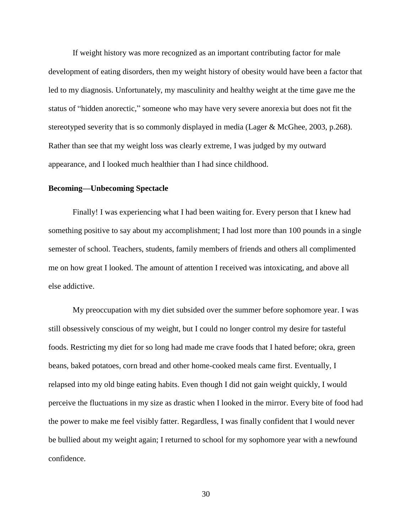If weight history was more recognized as an important contributing factor for male development of eating disorders, then my weight history of obesity would have been a factor that led to my diagnosis. Unfortunately, my masculinity and healthy weight at the time gave me the status of "hidden anorectic," someone who may have very severe anorexia but does not fit the stereotyped severity that is so commonly displayed in media (Lager & McGhee, 2003, p.268). Rather than see that my weight loss was clearly extreme, I was judged by my outward appearance, and I looked much healthier than I had since childhood.

# **Becoming—Unbecoming Spectacle**

Finally! I was experiencing what I had been waiting for. Every person that I knew had something positive to say about my accomplishment; I had lost more than 100 pounds in a single semester of school. Teachers, students, family members of friends and others all complimented me on how great I looked. The amount of attention I received was intoxicating, and above all else addictive.

My preoccupation with my diet subsided over the summer before sophomore year. I was still obsessively conscious of my weight, but I could no longer control my desire for tasteful foods. Restricting my diet for so long had made me crave foods that I hated before; okra, green beans, baked potatoes, corn bread and other home-cooked meals came first. Eventually, I relapsed into my old binge eating habits. Even though I did not gain weight quickly, I would perceive the fluctuations in my size as drastic when I looked in the mirror. Every bite of food had the power to make me feel visibly fatter. Regardless, I was finally confident that I would never be bullied about my weight again; I returned to school for my sophomore year with a newfound confidence.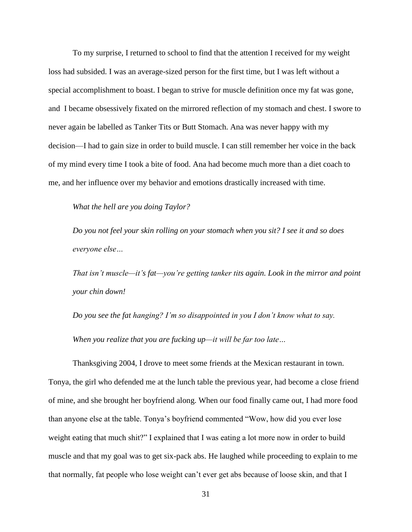To my surprise, I returned to school to find that the attention I received for my weight loss had subsided. I was an average-sized person for the first time, but I was left without a special accomplishment to boast. I began to strive for muscle definition once my fat was gone, and I became obsessively fixated on the mirrored reflection of my stomach and chest. I swore to never again be labelled as Tanker Tits or Butt Stomach. Ana was never happy with my decision—I had to gain size in order to build muscle. I can still remember her voice in the back of my mind every time I took a bite of food. Ana had become much more than a diet coach to me, and her influence over my behavior and emotions drastically increased with time.

*What the hell are you doing Taylor?*

*Do you not feel your skin rolling on your stomach when you sit? I see it and so does everyone else…*

*That isn't muscle—it's fat—you're getting tanker tits again. Look in the mirror and point your chin down!*

*Do you see the fat hanging? I'm so disappointed in you I don't know what to say. When you realize that you are fucking up—it will be far too late…*

Thanksgiving 2004, I drove to meet some friends at the Mexican restaurant in town. Tonya, the girl who defended me at the lunch table the previous year, had become a close friend of mine, and she brought her boyfriend along. When our food finally came out, I had more food than anyone else at the table. Tonya's boyfriend commented "Wow, how did you ever lose weight eating that much shit?" I explained that I was eating a lot more now in order to build muscle and that my goal was to get six-pack abs. He laughed while proceeding to explain to me that normally, fat people who lose weight can't ever get abs because of loose skin, and that I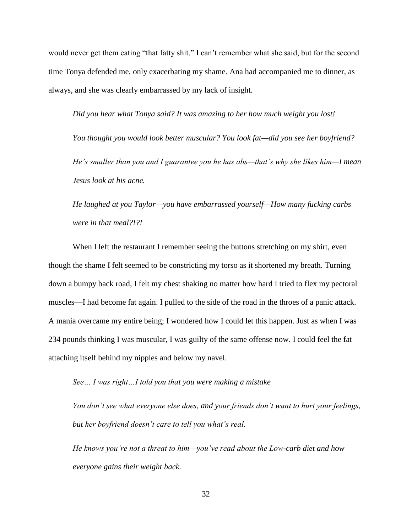would never get them eating "that fatty shit." I can't remember what she said, but for the second time Tonya defended me, only exacerbating my shame. Ana had accompanied me to dinner, as always, and she was clearly embarrassed by my lack of insight.

*Did you hear what Tonya said? It was amazing to her how much weight you lost!*

*You thought you would look better muscular? You look fat—did you see her boyfriend? He's smaller than you and I guarantee you he has abs—that's why she likes him—I mean Jesus look at his acne.*

*He laughed at you Taylor—you have embarrassed yourself—How many fucking carbs were in that meal?!?!*

When I left the restaurant I remember seeing the buttons stretching on my shirt, even though the shame I felt seemed to be constricting my torso as it shortened my breath. Turning down a bumpy back road, I felt my chest shaking no matter how hard I tried to flex my pectoral muscles—I had become fat again. I pulled to the side of the road in the throes of a panic attack. A mania overcame my entire being; I wondered how I could let this happen. Just as when I was 234 pounds thinking I was muscular, I was guilty of the same offense now. I could feel the fat attaching itself behind my nipples and below my navel.

*See… I was right…I told you that you were making a mistake*

*You don't see what everyone else does, and your friends don't want to hurt your feelings, but her boyfriend doesn't care to tell you what's real.*

*He knows you're not a threat to him—you've read about the Low-carb diet and how everyone gains their weight back.*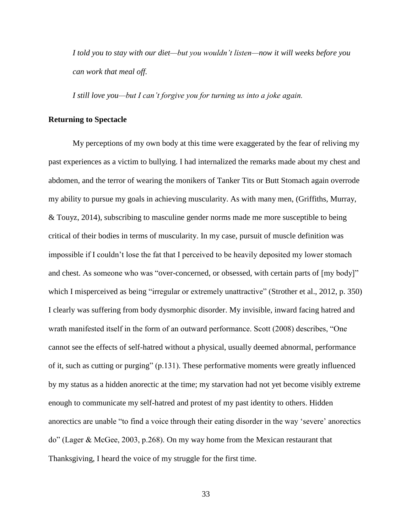*I told you to stay with our diet—but you wouldn't listen—now it will weeks before you can work that meal off.*

*I still love you—but I can't forgive you for turning us into a joke again.*

# **Returning to Spectacle**

My perceptions of my own body at this time were exaggerated by the fear of reliving my past experiences as a victim to bullying. I had internalized the remarks made about my chest and abdomen, and the terror of wearing the monikers of Tanker Tits or Butt Stomach again overrode my ability to pursue my goals in achieving muscularity. As with many men, (Griffiths, Murray, & Touyz, 2014), subscribing to masculine gender norms made me more susceptible to being critical of their bodies in terms of muscularity. In my case, pursuit of muscle definition was impossible if I couldn't lose the fat that I perceived to be heavily deposited my lower stomach and chest. As someone who was "over-concerned, or obsessed, with certain parts of [my body]" which I misperceived as being "irregular or extremely unattractive" (Strother et al., 2012, p. 350) I clearly was suffering from body dysmorphic disorder. My invisible, inward facing hatred and wrath manifested itself in the form of an outward performance. Scott (2008) describes, "One cannot see the effects of self-hatred without a physical, usually deemed abnormal, performance of it, such as cutting or purging" (p.131). These performative moments were greatly influenced by my status as a hidden anorectic at the time; my starvation had not yet become visibly extreme enough to communicate my self-hatred and protest of my past identity to others. Hidden anorectics are unable "to find a voice through their eating disorder in the way 'severe' anorectics do" (Lager & McGee, 2003, p.268). On my way home from the Mexican restaurant that Thanksgiving, I heard the voice of my struggle for the first time.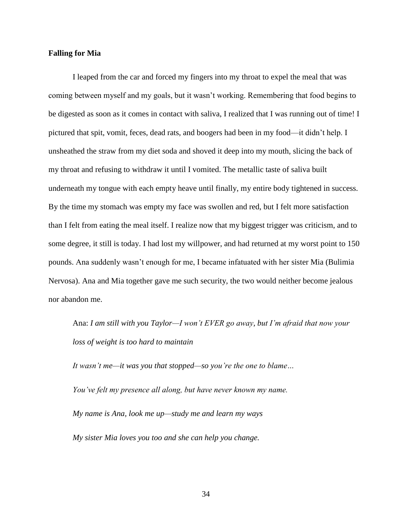# **Falling for Mia**

I leaped from the car and forced my fingers into my throat to expel the meal that was coming between myself and my goals, but it wasn't working. Remembering that food begins to be digested as soon as it comes in contact with saliva, I realized that I was running out of time! I pictured that spit, vomit, feces, dead rats, and boogers had been in my food—it didn't help. I unsheathed the straw from my diet soda and shoved it deep into my mouth, slicing the back of my throat and refusing to withdraw it until I vomited. The metallic taste of saliva built underneath my tongue with each empty heave until finally, my entire body tightened in success. By the time my stomach was empty my face was swollen and red, but I felt more satisfaction than I felt from eating the meal itself. I realize now that my biggest trigger was criticism, and to some degree, it still is today. I had lost my willpower, and had returned at my worst point to 150 pounds. Ana suddenly wasn't enough for me, I became infatuated with her sister Mia (Bulimia Nervosa). Ana and Mia together gave me such security, the two would neither become jealous nor abandon me.

Ana: *I am still with you Taylor—I won't EVER go away, but I'm afraid that now your loss of weight is too hard to maintain*

*It wasn't me—it was you that stopped—so you're the one to blame…*

*You've felt my presence all along, but have never known my name.*

*My name is Ana, look me up—study me and learn my ways*

*My sister Mia loves you too and she can help you change.*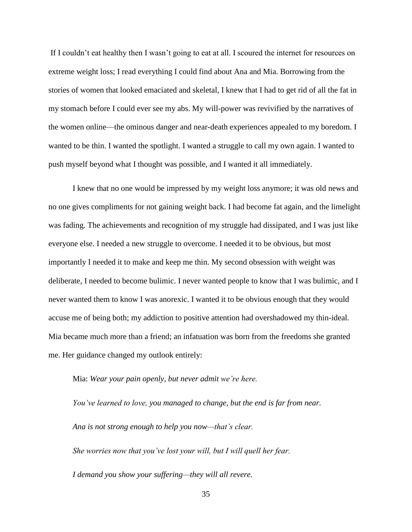If I couldn't eat healthy then I wasn't going to eat at all. I scoured the internet for resources on extreme weight loss; I read everything I could find about Ana and Mia. Borrowing from the stories of women that looked emaciated and skeletal, I knew that I had to get rid of all the fat in my stomach before I could ever see my abs. My will-power was revivified by the narratives of the women online—the ominous danger and near-death experiences appealed to my boredom. I wanted to be thin. I wanted the spotlight. I wanted a struggle to call my own again. I wanted to push myself beyond what I thought was possible, and I wanted it all immediately.

I knew that no one would be impressed by my weight loss anymore; it was old news and no one gives compliments for not gaining weight back. I had become fat again, and the limelight was fading. The achievements and recognition of my struggle had dissipated, and I was just like everyone else. I needed a new struggle to overcome. I needed it to be obvious, but most importantly I needed it to make and keep me thin. My second obsession with weight was deliberate, I needed to become bulimic. I never wanted people to know that I was bulimic, and I never wanted them to know I was anorexic. I wanted it to be obvious enough that they would accuse me of being both; my addiction to positive attention had overshadowed my thin-ideal. Mia became much more than a friend; an infatuation was born from the freedoms she granted me. Her guidance changed my outlook entirely:

Mia: *Wear your pain openly, but never admit we're here.*

*You've learned to love, you managed to change, but the end is far from near. Ana is not strong enough to help you now—that's clear. She worries now that you've lost your will, but I will quell her fear. I demand you show your suffering—they will all revere.*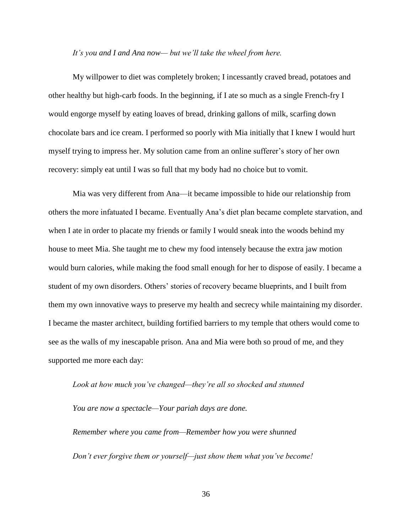#### *It's you and I and Ana now— but we'll take the wheel from here.*

My willpower to diet was completely broken; I incessantly craved bread, potatoes and other healthy but high-carb foods. In the beginning, if I ate so much as a single French-fry I would engorge myself by eating loaves of bread, drinking gallons of milk, scarfing down chocolate bars and ice cream. I performed so poorly with Mia initially that I knew I would hurt myself trying to impress her. My solution came from an online sufferer's story of her own recovery: simply eat until I was so full that my body had no choice but to vomit.

Mia was very different from Ana—it became impossible to hide our relationship from others the more infatuated I became. Eventually Ana's diet plan became complete starvation, and when I ate in order to placate my friends or family I would sneak into the woods behind my house to meet Mia. She taught me to chew my food intensely because the extra jaw motion would burn calories, while making the food small enough for her to dispose of easily. I became a student of my own disorders. Others' stories of recovery became blueprints, and I built from them my own innovative ways to preserve my health and secrecy while maintaining my disorder. I became the master architect, building fortified barriers to my temple that others would come to see as the walls of my inescapable prison. Ana and Mia were both so proud of me, and they supported me more each day:

# *Look at how much you've changed—they're all so shocked and stunned*

*You are now a spectacle—Your pariah days are done.*

*Remember where you came from—Remember how you were shunned Don't ever forgive them or yourself—just show them what you've become!*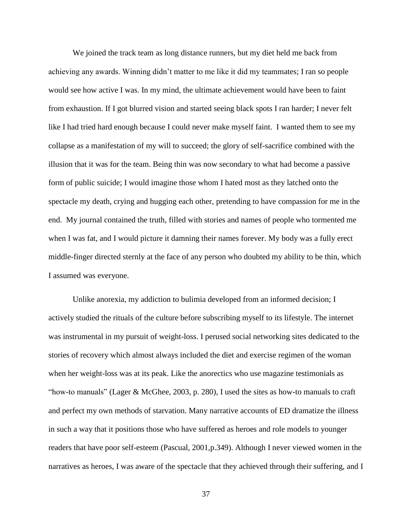We joined the track team as long distance runners, but my diet held me back from achieving any awards. Winning didn't matter to me like it did my teammates; I ran so people would see how active I was. In my mind, the ultimate achievement would have been to faint from exhaustion. If I got blurred vision and started seeing black spots I ran harder; I never felt like I had tried hard enough because I could never make myself faint. I wanted them to see my collapse as a manifestation of my will to succeed; the glory of self-sacrifice combined with the illusion that it was for the team. Being thin was now secondary to what had become a passive form of public suicide; I would imagine those whom I hated most as they latched onto the spectacle my death, crying and hugging each other, pretending to have compassion for me in the end. My journal contained the truth, filled with stories and names of people who tormented me when I was fat, and I would picture it damning their names forever. My body was a fully erect middle-finger directed sternly at the face of any person who doubted my ability to be thin, which I assumed was everyone.

Unlike anorexia, my addiction to bulimia developed from an informed decision; I actively studied the rituals of the culture before subscribing myself to its lifestyle. The internet was instrumental in my pursuit of weight-loss. I perused social networking sites dedicated to the stories of recovery which almost always included the diet and exercise regimen of the woman when her weight-loss was at its peak. Like the anorectics who use magazine testimonials as "how-to manuals" (Lager & McGhee, 2003, p. 280), I used the sites as how-to manuals to craft and perfect my own methods of starvation. Many narrative accounts of ED dramatize the illness in such a way that it positions those who have suffered as heroes and role models to younger readers that have poor self-esteem (Pascual, 2001,p.349). Although I never viewed women in the narratives as heroes, I was aware of the spectacle that they achieved through their suffering, and I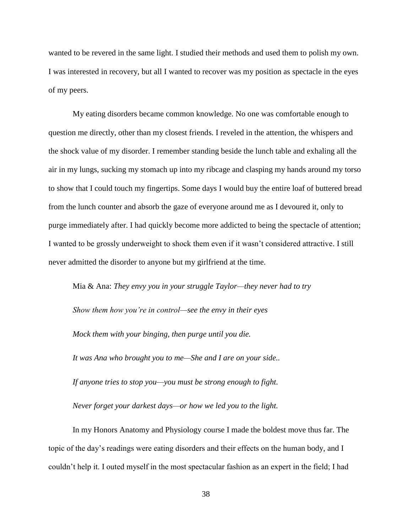wanted to be revered in the same light. I studied their methods and used them to polish my own. I was interested in recovery, but all I wanted to recover was my position as spectacle in the eyes of my peers.

My eating disorders became common knowledge. No one was comfortable enough to question me directly, other than my closest friends. I reveled in the attention, the whispers and the shock value of my disorder. I remember standing beside the lunch table and exhaling all the air in my lungs, sucking my stomach up into my ribcage and clasping my hands around my torso to show that I could touch my fingertips. Some days I would buy the entire loaf of buttered bread from the lunch counter and absorb the gaze of everyone around me as I devoured it, only to purge immediately after. I had quickly become more addicted to being the spectacle of attention; I wanted to be grossly underweight to shock them even if it wasn't considered attractive. I still never admitted the disorder to anyone but my girlfriend at the time.

Mia & Ana: *They envy you in your struggle Taylor—they never had to try Show them how you're in control—see the envy in their eyes Mock them with your binging, then purge until you die. It was Ana who brought you to me—She and I are on your side.. If anyone tries to stop you—you must be strong enough to fight.*

*Never forget your darkest days—or how we led you to the light.*

In my Honors Anatomy and Physiology course I made the boldest move thus far. The topic of the day's readings were eating disorders and their effects on the human body, and I couldn't help it. I outed myself in the most spectacular fashion as an expert in the field; I had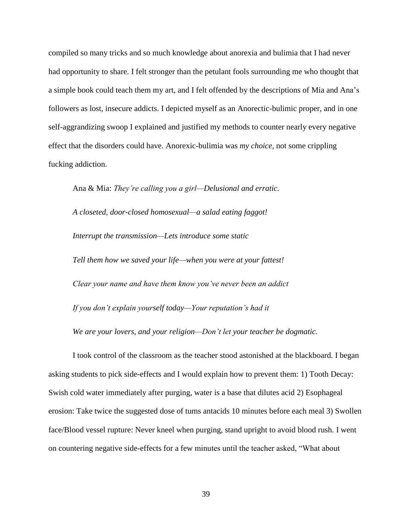compiled so many tricks and so much knowledge about anorexia and bulimia that I had never had opportunity to share. I felt stronger than the petulant fools surrounding me who thought that a simple book could teach them my art, and I felt offended by the descriptions of Mia and Ana's followers as lost, insecure addicts. I depicted myself as an Anorectic-bulimic proper, and in one self-aggrandizing swoop I explained and justified my methods to counter nearly every negative effect that the disorders could have. Anorexic-bulimia was *my choice,* not some crippling fucking addiction.

Ana & Mia: *They're calling you a girl—Delusional and erratic. A closeted, door-closed homosexual—a salad eating faggot! Interrupt the transmission—Lets introduce some static Tell them how we saved your life—when you were at your fattest! Clear your name and have them know you've never been an addict If you don't explain yourself today—Your reputation's had it We are your lovers, and your religion—Don't let your teacher be dogmatic.*

I took control of the classroom as the teacher stood astonished at the blackboard. I began asking students to pick side-effects and I would explain how to prevent them: 1) Tooth Decay: Swish cold water immediately after purging, water is a base that dilutes acid 2) Esophageal erosion: Take twice the suggested dose of tums antacids 10 minutes before each meal 3) Swollen face/Blood vessel rupture: Never kneel when purging, stand upright to avoid blood rush. I went on countering negative side-effects for a few minutes until the teacher asked, "What about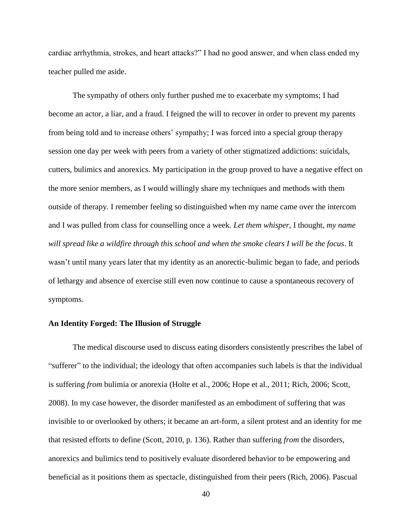cardiac arrhythmia, strokes, and heart attacks?" I had no good answer, and when class ended my teacher pulled me aside.

The sympathy of others only further pushed me to exacerbate my symptoms; I had become an actor, a liar, and a fraud. I feigned the will to recover in order to prevent my parents from being told and to increase others' sympathy; I was forced into a special group therapy session one day per week with peers from a variety of other stigmatized addictions: suicidals, cutters, bulimics and anorexics. My participation in the group proved to have a negative effect on the more senior members, as I would willingly share my techniques and methods with them outside of therapy. I remember feeling so distinguished when my name came over the intercom and I was pulled from class for counselling once a week*. Let them whisper,* I thought, *my name will spread like a wildfire through this school and when the smoke clears I will be the focus*. It wasn't until many years later that my identity as an anorectic-bulimic began to fade, and periods of lethargy and absence of exercise still even now continue to cause a spontaneous recovery of symptoms.

# **An Identity Forged: The Illusion of Struggle**

The medical discourse used to discuss eating disorders consistently prescribes the label of "sufferer" to the individual; the ideology that often accompanies such labels is that the individual is suffering *from* bulimia or anorexia (Holte et al., 2006; Hope et al., 2011; Rich, 2006; Scott, 2008). In my case however, the disorder manifested as an embodiment of suffering that was invisible to or overlooked by others; it became an art-form, a silent protest and an identity for me that resisted efforts to define (Scott, 2010, p. 136). Rather than suffering *from* the disorders, anorexics and bulimics tend to positively evaluate disordered behavior to be empowering and beneficial as it positions them as spectacle, distinguished from their peers (Rich, 2006). Pascual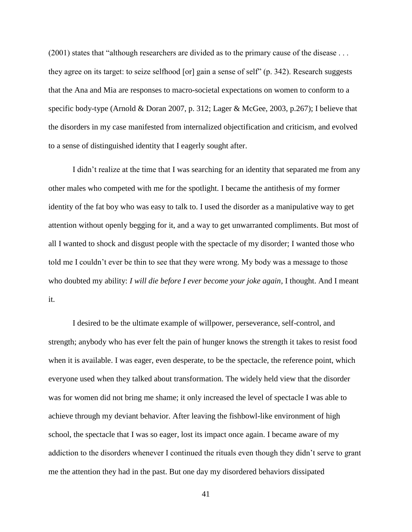(2001) states that "although researchers are divided as to the primary cause of the disease . . . they agree on its target: to seize selfhood [or] gain a sense of self" (p. 342). Research suggests that the Ana and Mia are responses to macro-societal expectations on women to conform to a specific body-type (Arnold & Doran 2007, p. 312; Lager & McGee, 2003, p.267); I believe that the disorders in my case manifested from internalized objectification and criticism, and evolved to a sense of distinguished identity that I eagerly sought after.

I didn't realize at the time that I was searching for an identity that separated me from any other males who competed with me for the spotlight. I became the antithesis of my former identity of the fat boy who was easy to talk to. I used the disorder as a manipulative way to get attention without openly begging for it, and a way to get unwarranted compliments. But most of all I wanted to shock and disgust people with the spectacle of my disorder; I wanted those who told me I couldn't ever be thin to see that they were wrong. My body was a message to those who doubted my ability: *I will die before I ever become your joke again,* I thought. And I meant it.

I desired to be the ultimate example of willpower, perseverance, self-control, and strength; anybody who has ever felt the pain of hunger knows the strength it takes to resist food when it is available. I was eager, even desperate, to be the spectacle, the reference point, which everyone used when they talked about transformation. The widely held view that the disorder was for women did not bring me shame; it only increased the level of spectacle I was able to achieve through my deviant behavior. After leaving the fishbowl-like environment of high school, the spectacle that I was so eager, lost its impact once again. I became aware of my addiction to the disorders whenever I continued the rituals even though they didn't serve to grant me the attention they had in the past. But one day my disordered behaviors dissipated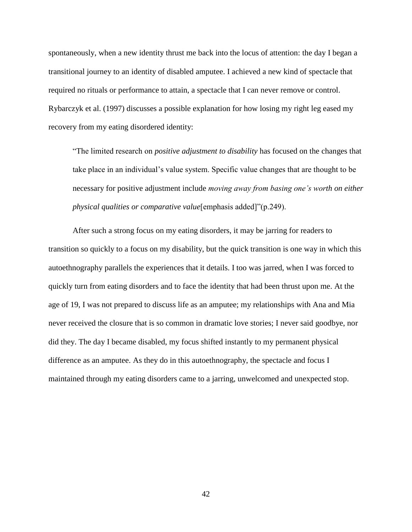spontaneously, when a new identity thrust me back into the locus of attention: the day I began a transitional journey to an identity of disabled amputee. I achieved a new kind of spectacle that required no rituals or performance to attain, a spectacle that I can never remove or control. Rybarczyk et al. (1997) discusses a possible explanation for how losing my right leg eased my recovery from my eating disordered identity:

"The limited research on *positive adjustment to disability* has focused on the changes that take place in an individual's value system. Specific value changes that are thought to be necessary for positive adjustment include *moving away from basing one's worth on either physical qualities or comparative value*[emphasis added]"(p.249).

After such a strong focus on my eating disorders, it may be jarring for readers to transition so quickly to a focus on my disability, but the quick transition is one way in which this autoethnography parallels the experiences that it details. I too was jarred, when I was forced to quickly turn from eating disorders and to face the identity that had been thrust upon me. At the age of 19, I was not prepared to discuss life as an amputee; my relationships with Ana and Mia never received the closure that is so common in dramatic love stories; I never said goodbye, nor did they. The day I became disabled, my focus shifted instantly to my permanent physical difference as an amputee. As they do in this autoethnography, the spectacle and focus I maintained through my eating disorders came to a jarring, unwelcomed and unexpected stop.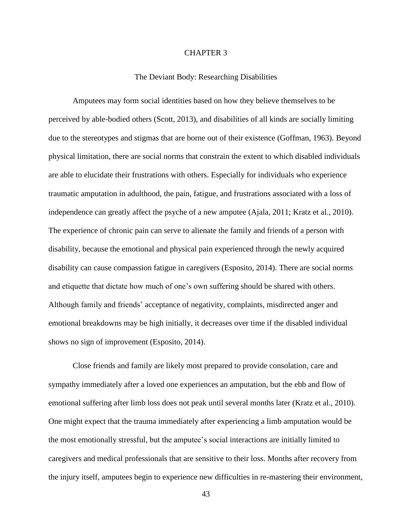# CHAPTER 3

## The Deviant Body: Researching Disabilities

Amputees may form social identities based on how they believe themselves to be perceived by able-bodied others (Scott, 2013), and disabilities of all kinds are socially limiting due to the stereotypes and stigmas that are borne out of their existence (Goffman, 1963). Beyond physical limitation, there are social norms that constrain the extent to which disabled individuals are able to elucidate their frustrations with others. Especially for individuals who experience traumatic amputation in adulthood, the pain, fatigue, and frustrations associated with a loss of independence can greatly affect the psyche of a new amputee (Ajala, 2011; Kratz et al., 2010). The experience of chronic pain can serve to alienate the family and friends of a person with disability, because the emotional and physical pain experienced through the newly acquired disability can cause compassion fatigue in caregivers (Esposito, 2014). There are social norms and etiquette that dictate how much of one's own suffering should be shared with others. Although family and friends' acceptance of negativity, complaints, misdirected anger and emotional breakdowns may be high initially, it decreases over time if the disabled individual shows no sign of improvement (Esposito, 2014).

Close friends and family are likely most prepared to provide consolation, care and sympathy immediately after a loved one experiences an amputation, but the ebb and flow of emotional suffering after limb loss does not peak until several months later (Kratz et al., 2010). One might expect that the trauma immediately after experiencing a limb amputation would be the most emotionally stressful, but the amputee's social interactions are initially limited to caregivers and medical professionals that are sensitive to their loss. Months after recovery from the injury itself, amputees begin to experience new difficulties in re-mastering their environment,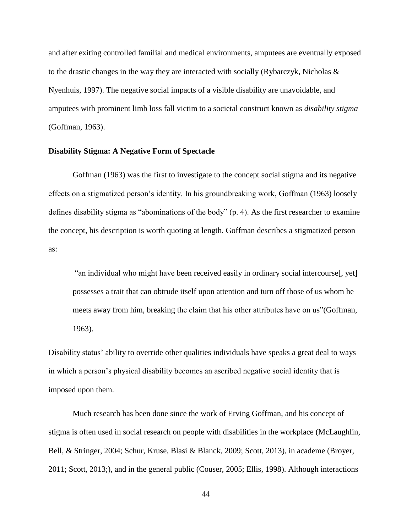and after exiting controlled familial and medical environments, amputees are eventually exposed to the drastic changes in the way they are interacted with socially (Rybarczyk, Nicholas & Nyenhuis, 1997). The negative social impacts of a visible disability are unavoidable, and amputees with prominent limb loss fall victim to a societal construct known as *disability stigma* (Goffman, 1963).

## **Disability Stigma: A Negative Form of Spectacle**

Goffman (1963) was the first to investigate to the concept social stigma and its negative effects on a stigmatized person's identity. In his groundbreaking work, Goffman (1963) loosely defines disability stigma as "abominations of the body" (p. 4). As the first researcher to examine the concept, his description is worth quoting at length. Goffman describes a stigmatized person as:

"an individual who might have been received easily in ordinary social intercourse[, yet] possesses a trait that can obtrude itself upon attention and turn off those of us whom he meets away from him, breaking the claim that his other attributes have on us"(Goffman, 1963).

Disability status' ability to override other qualities individuals have speaks a great deal to ways in which a person's physical disability becomes an ascribed negative social identity that is imposed upon them.

Much research has been done since the work of Erving Goffman, and his concept of stigma is often used in social research on people with disabilities in the workplace (McLaughlin, Bell, & Stringer, 2004; Schur, Kruse, Blasi & Blanck, 2009; Scott, 2013), in academe (Broyer, 2011; Scott, 2013;), and in the general public (Couser, 2005; Ellis, 1998). Although interactions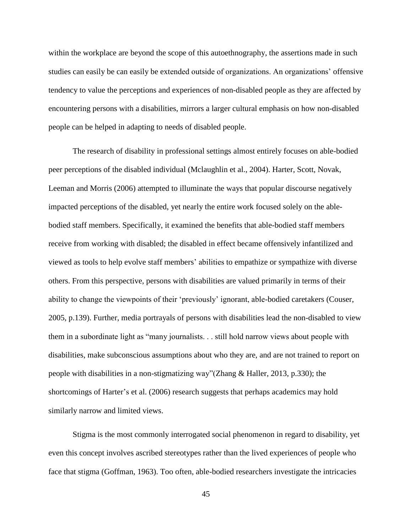within the workplace are beyond the scope of this autoethnography, the assertions made in such studies can easily be can easily be extended outside of organizations. An organizations' offensive tendency to value the perceptions and experiences of non-disabled people as they are affected by encountering persons with a disabilities, mirrors a larger cultural emphasis on how non-disabled people can be helped in adapting to needs of disabled people.

The research of disability in professional settings almost entirely focuses on able-bodied peer perceptions of the disabled individual (Mclaughlin et al., 2004). Harter, Scott, Novak, Leeman and Morris (2006) attempted to illuminate the ways that popular discourse negatively impacted perceptions of the disabled, yet nearly the entire work focused solely on the ablebodied staff members. Specifically, it examined the benefits that able-bodied staff members receive from working with disabled; the disabled in effect became offensively infantilized and viewed as tools to help evolve staff members' abilities to empathize or sympathize with diverse others. From this perspective, persons with disabilities are valued primarily in terms of their ability to change the viewpoints of their 'previously' ignorant, able-bodied caretakers (Couser, 2005, p.139). Further, media portrayals of persons with disabilities lead the non-disabled to view them in a subordinate light as "many journalists. . . still hold narrow views about people with disabilities, make subconscious assumptions about who they are, and are not trained to report on people with disabilities in a non-stigmatizing way"(Zhang & Haller, 2013, p.330); the shortcomings of Harter's et al. (2006) research suggests that perhaps academics may hold similarly narrow and limited views.

Stigma is the most commonly interrogated social phenomenon in regard to disability, yet even this concept involves ascribed stereotypes rather than the lived experiences of people who face that stigma (Goffman, 1963). Too often, able-bodied researchers investigate the intricacies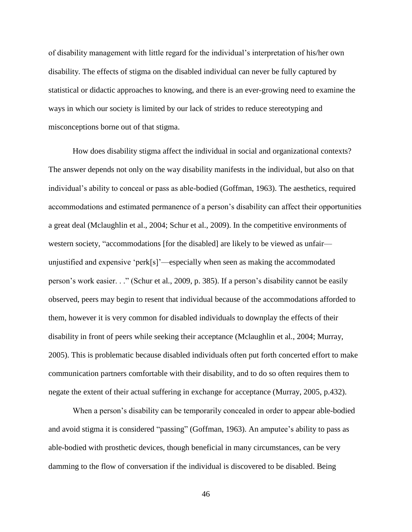of disability management with little regard for the individual's interpretation of his/her own disability. The effects of stigma on the disabled individual can never be fully captured by statistical or didactic approaches to knowing, and there is an ever-growing need to examine the ways in which our society is limited by our lack of strides to reduce stereotyping and misconceptions borne out of that stigma.

How does disability stigma affect the individual in social and organizational contexts? The answer depends not only on the way disability manifests in the individual, but also on that individual's ability to conceal or pass as able-bodied (Goffman, 1963). The aesthetics, required accommodations and estimated permanence of a person's disability can affect their opportunities a great deal (Mclaughlin et al., 2004; Schur et al., 2009). In the competitive environments of western society, "accommodations [for the disabled] are likely to be viewed as unfair unjustified and expensive 'perk[s]'—especially when seen as making the accommodated person's work easier. . ." (Schur et al*.*, 2009, p. 385). If a person's disability cannot be easily observed, peers may begin to resent that individual because of the accommodations afforded to them, however it is very common for disabled individuals to downplay the effects of their disability in front of peers while seeking their acceptance (Mclaughlin et al*.*, 2004; Murray, 2005). This is problematic because disabled individuals often put forth concerted effort to make communication partners comfortable with their disability, and to do so often requires them to negate the extent of their actual suffering in exchange for acceptance (Murray, 2005, p.432).

When a person's disability can be temporarily concealed in order to appear able-bodied and avoid stigma it is considered "passing" (Goffman, 1963). An amputee's ability to pass as able-bodied with prosthetic devices, though beneficial in many circumstances, can be very damming to the flow of conversation if the individual is discovered to be disabled. Being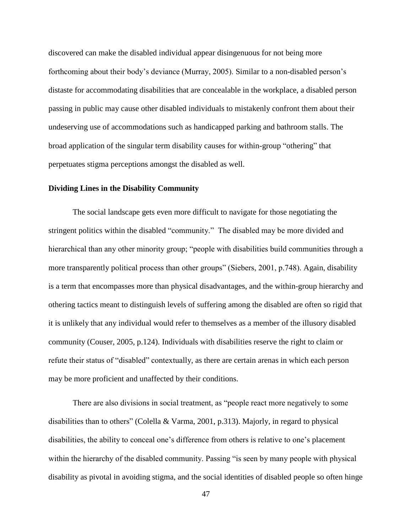discovered can make the disabled individual appear disingenuous for not being more forthcoming about their body's deviance (Murray, 2005). Similar to a non-disabled person's distaste for accommodating disabilities that are concealable in the workplace, a disabled person passing in public may cause other disabled individuals to mistakenly confront them about their undeserving use of accommodations such as handicapped parking and bathroom stalls. The broad application of the singular term disability causes for within-group "othering" that perpetuates stigma perceptions amongst the disabled as well.

# **Dividing Lines in the Disability Community**

The social landscape gets even more difficult to navigate for those negotiating the stringent politics within the disabled "community." The disabled may be more divided and hierarchical than any other minority group; "people with disabilities build communities through a more transparently political process than other groups" (Siebers, 2001, p.748). Again, disability is a term that encompasses more than physical disadvantages, and the within-group hierarchy and othering tactics meant to distinguish levels of suffering among the disabled are often so rigid that it is unlikely that any individual would refer to themselves as a member of the illusory disabled community (Couser, 2005, p.124). Individuals with disabilities reserve the right to claim or refute their status of "disabled" contextually, as there are certain arenas in which each person may be more proficient and unaffected by their conditions.

There are also divisions in social treatment, as "people react more negatively to some disabilities than to others" (Colella & Varma, 2001, p.313). Majorly, in regard to physical disabilities, the ability to conceal one's difference from others is relative to one's placement within the hierarchy of the disabled community. Passing "is seen by many people with physical disability as pivotal in avoiding stigma, and the social identities of disabled people so often hinge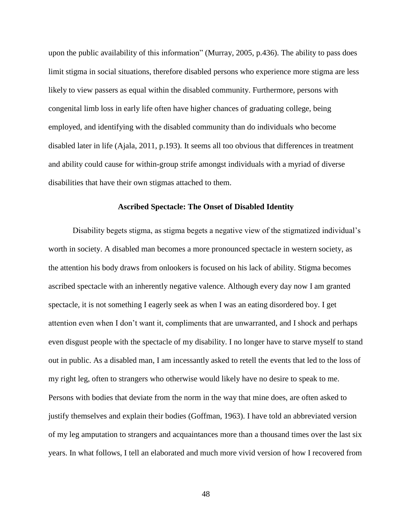upon the public availability of this information" (Murray, 2005, p.436). The ability to pass does limit stigma in social situations, therefore disabled persons who experience more stigma are less likely to view passers as equal within the disabled community. Furthermore, persons with congenital limb loss in early life often have higher chances of graduating college, being employed, and identifying with the disabled community than do individuals who become disabled later in life (Ajala, 2011, p.193). It seems all too obvious that differences in treatment and ability could cause for within-group strife amongst individuals with a myriad of diverse disabilities that have their own stigmas attached to them.

#### **Ascribed Spectacle: The Onset of Disabled Identity**

Disability begets stigma, as stigma begets a negative view of the stigmatized individual's worth in society. A disabled man becomes a more pronounced spectacle in western society, as the attention his body draws from onlookers is focused on his lack of ability. Stigma becomes ascribed spectacle with an inherently negative valence. Although every day now I am granted spectacle, it is not something I eagerly seek as when I was an eating disordered boy. I get attention even when I don't want it, compliments that are unwarranted, and I shock and perhaps even disgust people with the spectacle of my disability. I no longer have to starve myself to stand out in public. As a disabled man, I am incessantly asked to retell the events that led to the loss of my right leg, often to strangers who otherwise would likely have no desire to speak to me. Persons with bodies that deviate from the norm in the way that mine does, are often asked to justify themselves and explain their bodies (Goffman, 1963). I have told an abbreviated version of my leg amputation to strangers and acquaintances more than a thousand times over the last six years. In what follows, I tell an elaborated and much more vivid version of how I recovered from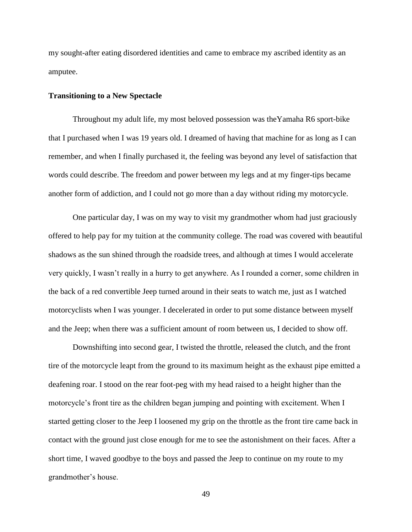my sought-after eating disordered identities and came to embrace my ascribed identity as an amputee.

# **Transitioning to a New Spectacle**

Throughout my adult life, my most beloved possession was theYamaha R6 sport-bike that I purchased when I was 19 years old. I dreamed of having that machine for as long as I can remember, and when I finally purchased it, the feeling was beyond any level of satisfaction that words could describe. The freedom and power between my legs and at my finger-tips became another form of addiction, and I could not go more than a day without riding my motorcycle.

One particular day, I was on my way to visit my grandmother whom had just graciously offered to help pay for my tuition at the community college. The road was covered with beautiful shadows as the sun shined through the roadside trees, and although at times I would accelerate very quickly, I wasn't really in a hurry to get anywhere. As I rounded a corner, some children in the back of a red convertible Jeep turned around in their seats to watch me, just as I watched motorcyclists when I was younger. I decelerated in order to put some distance between myself and the Jeep; when there was a sufficient amount of room between us, I decided to show off.

Downshifting into second gear, I twisted the throttle, released the clutch, and the front tire of the motorcycle leapt from the ground to its maximum height as the exhaust pipe emitted a deafening roar. I stood on the rear foot-peg with my head raised to a height higher than the motorcycle's front tire as the children began jumping and pointing with excitement. When I started getting closer to the Jeep I loosened my grip on the throttle as the front tire came back in contact with the ground just close enough for me to see the astonishment on their faces. After a short time, I waved goodbye to the boys and passed the Jeep to continue on my route to my grandmother's house.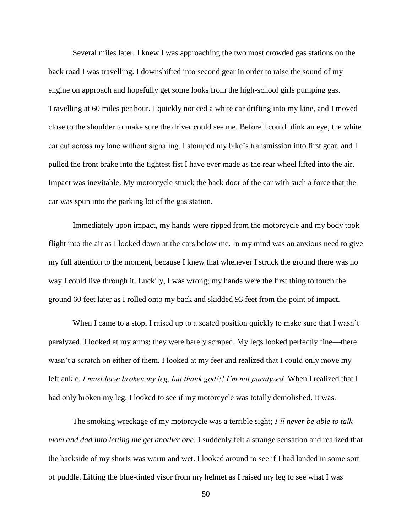Several miles later, I knew I was approaching the two most crowded gas stations on the back road I was travelling. I downshifted into second gear in order to raise the sound of my engine on approach and hopefully get some looks from the high-school girls pumping gas. Travelling at 60 miles per hour, I quickly noticed a white car drifting into my lane, and I moved close to the shoulder to make sure the driver could see me. Before I could blink an eye, the white car cut across my lane without signaling. I stomped my bike's transmission into first gear, and I pulled the front brake into the tightest fist I have ever made as the rear wheel lifted into the air. Impact was inevitable. My motorcycle struck the back door of the car with such a force that the car was spun into the parking lot of the gas station.

Immediately upon impact, my hands were ripped from the motorcycle and my body took flight into the air as I looked down at the cars below me. In my mind was an anxious need to give my full attention to the moment, because I knew that whenever I struck the ground there was no way I could live through it. Luckily, I was wrong; my hands were the first thing to touch the ground 60 feet later as I rolled onto my back and skidded 93 feet from the point of impact.

When I came to a stop, I raised up to a seated position quickly to make sure that I wasn't paralyzed. I looked at my arms; they were barely scraped. My legs looked perfectly fine—there wasn't a scratch on either of them. I looked at my feet and realized that I could only move my left ankle. *I must have broken my leg, but thank god!!! I'm not paralyzed*. When I realized that I had only broken my leg, I looked to see if my motorcycle was totally demolished. It was.

The smoking wreckage of my motorcycle was a terrible sight; *I'll never be able to talk mom and dad into letting me get another one*. I suddenly felt a strange sensation and realized that the backside of my shorts was warm and wet. I looked around to see if I had landed in some sort of puddle. Lifting the blue-tinted visor from my helmet as I raised my leg to see what I was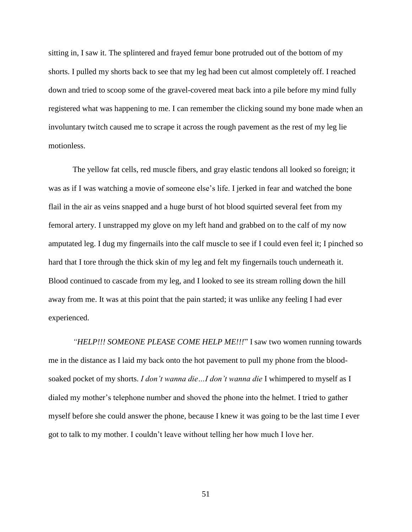sitting in, I saw it. The splintered and frayed femur bone protruded out of the bottom of my shorts. I pulled my shorts back to see that my leg had been cut almost completely off. I reached down and tried to scoop some of the gravel-covered meat back into a pile before my mind fully registered what was happening to me. I can remember the clicking sound my bone made when an involuntary twitch caused me to scrape it across the rough pavement as the rest of my leg lie motionless.

The yellow fat cells, red muscle fibers, and gray elastic tendons all looked so foreign; it was as if I was watching a movie of someone else's life. I jerked in fear and watched the bone flail in the air as veins snapped and a huge burst of hot blood squirted several feet from my femoral artery. I unstrapped my glove on my left hand and grabbed on to the calf of my now amputated leg. I dug my fingernails into the calf muscle to see if I could even feel it; I pinched so hard that I tore through the thick skin of my leg and felt my fingernails touch underneath it. Blood continued to cascade from my leg, and I looked to see its stream rolling down the hill away from me. It was at this point that the pain started; it was unlike any feeling I had ever experienced.

*"HELP!!! SOMEONE PLEASE COME HELP ME!!!*" I saw two women running towards me in the distance as I laid my back onto the hot pavement to pull my phone from the bloodsoaked pocket of my shorts. *I don't wanna die…I don't wanna die* I whimpered to myself as I dialed my mother's telephone number and shoved the phone into the helmet. I tried to gather myself before she could answer the phone, because I knew it was going to be the last time I ever got to talk to my mother. I couldn't leave without telling her how much I love her.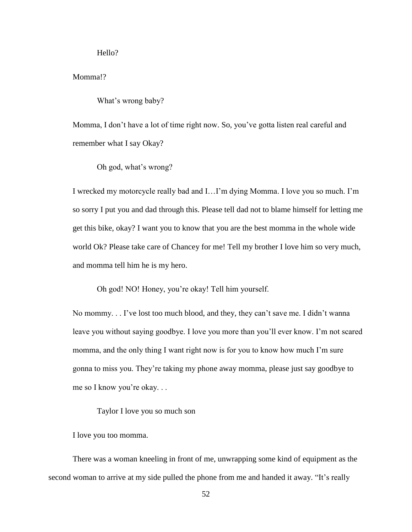Hello?

# Momma!?

What's wrong baby?

Momma, I don't have a lot of time right now. So, you've gotta listen real careful and remember what I say Okay?

Oh god, what's wrong?

I wrecked my motorcycle really bad and I…I'm dying Momma. I love you so much. I'm so sorry I put you and dad through this. Please tell dad not to blame himself for letting me get this bike, okay? I want you to know that you are the best momma in the whole wide world Ok? Please take care of Chancey for me! Tell my brother I love him so very much, and momma tell him he is my hero.

Oh god! NO! Honey, you're okay! Tell him yourself.

No mommy. . . I've lost too much blood, and they, they can't save me. I didn't wanna leave you without saying goodbye. I love you more than you'll ever know. I'm not scared momma, and the only thing I want right now is for you to know how much I'm sure gonna to miss you. They're taking my phone away momma, please just say goodbye to me so I know you're okay. . .

Taylor I love you so much son

I love you too momma.

There was a woman kneeling in front of me, unwrapping some kind of equipment as the second woman to arrive at my side pulled the phone from me and handed it away. "It's really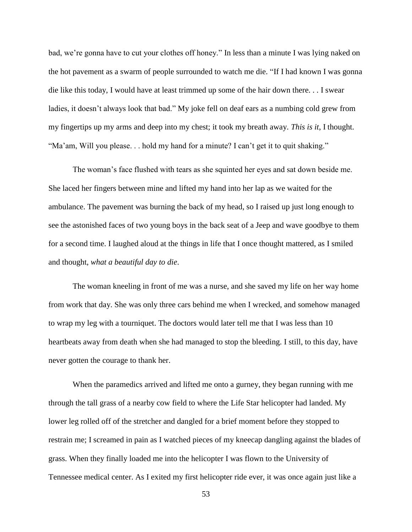bad, we're gonna have to cut your clothes off honey." In less than a minute I was lying naked on the hot pavement as a swarm of people surrounded to watch me die. "If I had known I was gonna die like this today, I would have at least trimmed up some of the hair down there. . . I swear ladies, it doesn't always look that bad." My joke fell on deaf ears as a numbing cold grew from my fingertips up my arms and deep into my chest; it took my breath away. *This is it*, I thought. "Ma'am, Will you please. . . hold my hand for a minute? I can't get it to quit shaking."

The woman's face flushed with tears as she squinted her eyes and sat down beside me. She laced her fingers between mine and lifted my hand into her lap as we waited for the ambulance. The pavement was burning the back of my head, so I raised up just long enough to see the astonished faces of two young boys in the back seat of a Jeep and wave goodbye to them for a second time. I laughed aloud at the things in life that I once thought mattered, as I smiled and thought, *what a beautiful day to die*.

The woman kneeling in front of me was a nurse, and she saved my life on her way home from work that day. She was only three cars behind me when I wrecked, and somehow managed to wrap my leg with a tourniquet. The doctors would later tell me that I was less than 10 heartbeats away from death when she had managed to stop the bleeding. I still, to this day, have never gotten the courage to thank her.

When the paramedics arrived and lifted me onto a gurney, they began running with me through the tall grass of a nearby cow field to where the Life Star helicopter had landed. My lower leg rolled off of the stretcher and dangled for a brief moment before they stopped to restrain me; I screamed in pain as I watched pieces of my kneecap dangling against the blades of grass. When they finally loaded me into the helicopter I was flown to the University of Tennessee medical center. As I exited my first helicopter ride ever, it was once again just like a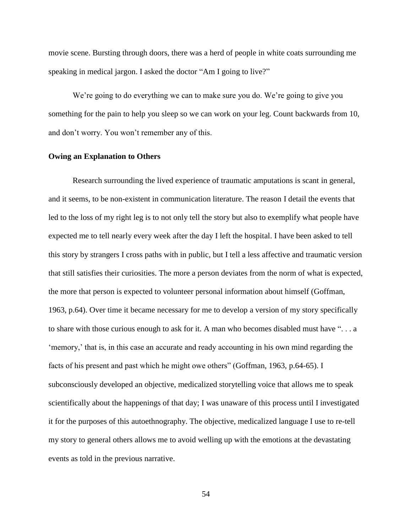movie scene. Bursting through doors, there was a herd of people in white coats surrounding me speaking in medical jargon. I asked the doctor "Am I going to live?"

We're going to do everything we can to make sure you do. We're going to give you something for the pain to help you sleep so we can work on your leg. Count backwards from 10, and don't worry. You won't remember any of this.

#### **Owing an Explanation to Others**

Research surrounding the lived experience of traumatic amputations is scant in general, and it seems, to be non-existent in communication literature. The reason I detail the events that led to the loss of my right leg is to not only tell the story but also to exemplify what people have expected me to tell nearly every week after the day I left the hospital. I have been asked to tell this story by strangers I cross paths with in public, but I tell a less affective and traumatic version that still satisfies their curiosities. The more a person deviates from the norm of what is expected, the more that person is expected to volunteer personal information about himself (Goffman, 1963, p.64). Over time it became necessary for me to develop a version of my story specifically to share with those curious enough to ask for it. A man who becomes disabled must have ". . . a 'memory,' that is, in this case an accurate and ready accounting in his own mind regarding the facts of his present and past which he might owe others" (Goffman, 1963, p.64-65). I subconsciously developed an objective, medicalized storytelling voice that allows me to speak scientifically about the happenings of that day; I was unaware of this process until I investigated it for the purposes of this autoethnography. The objective, medicalized language I use to re-tell my story to general others allows me to avoid welling up with the emotions at the devastating events as told in the previous narrative.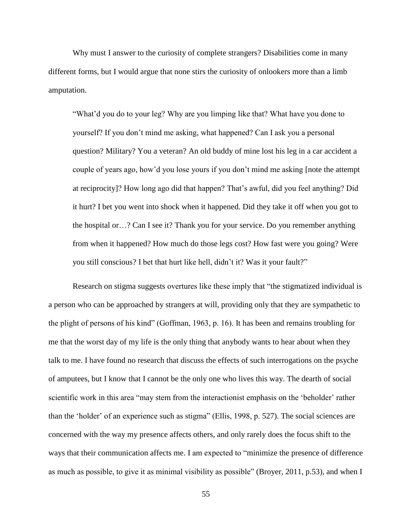Why must I answer to the curiosity of complete strangers? Disabilities come in many different forms, but I would argue that none stirs the curiosity of onlookers more than a limb amputation.

"What'd you do to your leg? Why are you limping like that? What have you done to yourself? If you don't mind me asking, what happened? Can I ask you a personal question? Military? You a veteran? An old buddy of mine lost his leg in a car accident a couple of years ago, how'd you lose yours if you don't mind me asking [note the attempt at reciprocity]? How long ago did that happen? That's awful, did you feel anything? Did it hurt? I bet you went into shock when it happened. Did they take it off when you got to the hospital or…? Can I see it? Thank you for your service. Do you remember anything from when it happened? How much do those legs cost? How fast were you going? Were you still conscious? I bet that hurt like hell, didn't it? Was it your fault?"

Research on stigma suggests overtures like these imply that "the stigmatized individual is a person who can be approached by strangers at will, providing only that they are sympathetic to the plight of persons of his kind" (Goffman, 1963, p. 16). It has been and remains troubling for me that the worst day of my life is the only thing that anybody wants to hear about when they talk to me. I have found no research that discuss the effects of such interrogations on the psyche of amputees, but I know that I cannot be the only one who lives this way. The dearth of social scientific work in this area "may stem from the interactionist emphasis on the 'beholder' rather than the 'holder' of an experience such as stigma" (Ellis, 1998, p. 527). The social sciences are concerned with the way my presence affects others, and only rarely does the focus shift to the ways that their communication affects me. I am expected to "minimize the presence of difference as much as possible, to give it as minimal visibility as possible" (Broyer, 2011, p.53), and when I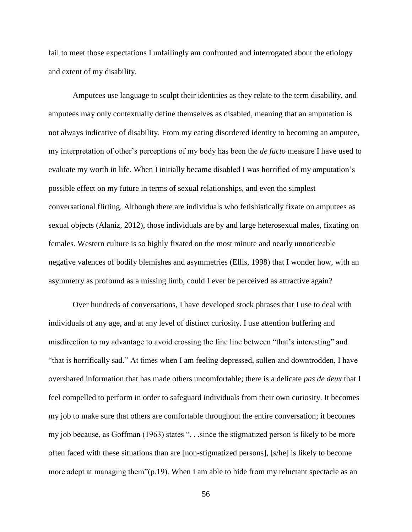fail to meet those expectations I unfailingly am confronted and interrogated about the etiology and extent of my disability.

Amputees use language to sculpt their identities as they relate to the term disability, and amputees may only contextually define themselves as disabled, meaning that an amputation is not always indicative of disability. From my eating disordered identity to becoming an amputee, my interpretation of other's perceptions of my body has been the *de facto* measure I have used to evaluate my worth in life. When I initially became disabled I was horrified of my amputation's possible effect on my future in terms of sexual relationships, and even the simplest conversational flirting. Although there are individuals who fetishistically fixate on amputees as sexual objects (Alaniz, 2012), those individuals are by and large heterosexual males, fixating on females. Western culture is so highly fixated on the most minute and nearly unnoticeable negative valences of bodily blemishes and asymmetries (Ellis, 1998) that I wonder how, with an asymmetry as profound as a missing limb, could I ever be perceived as attractive again?

Over hundreds of conversations, I have developed stock phrases that I use to deal with individuals of any age, and at any level of distinct curiosity. I use attention buffering and misdirection to my advantage to avoid crossing the fine line between "that's interesting" and "that is horrifically sad." At times when I am feeling depressed, sullen and downtrodden, I have overshared information that has made others uncomfortable; there is a delicate *pas de deux* that I feel compelled to perform in order to safeguard individuals from their own curiosity. It becomes my job to make sure that others are comfortable throughout the entire conversation; it becomes my job because, as Goffman (1963) states ". . .since the stigmatized person is likely to be more often faced with these situations than are [non-stigmatized persons], [s/he] is likely to become more adept at managing them"(p.19). When I am able to hide from my reluctant spectacle as an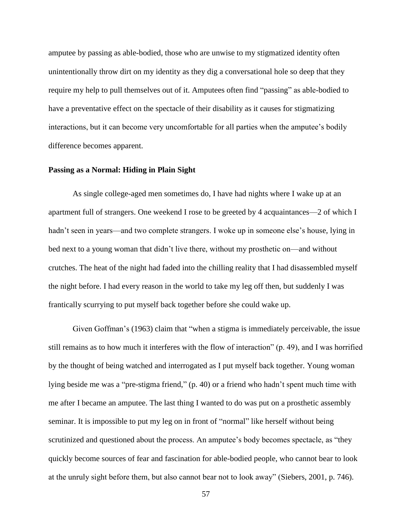amputee by passing as able-bodied, those who are unwise to my stigmatized identity often unintentionally throw dirt on my identity as they dig a conversational hole so deep that they require my help to pull themselves out of it. Amputees often find "passing" as able-bodied to have a preventative effect on the spectacle of their disability as it causes for stigmatizing interactions, but it can become very uncomfortable for all parties when the amputee's bodily difference becomes apparent.

#### **Passing as a Normal: Hiding in Plain Sight**

As single college-aged men sometimes do, I have had nights where I wake up at an apartment full of strangers. One weekend I rose to be greeted by 4 acquaintances—2 of which I hadn't seen in years—and two complete strangers. I woke up in someone else's house, lying in bed next to a young woman that didn't live there, without my prosthetic on—and without crutches. The heat of the night had faded into the chilling reality that I had disassembled myself the night before. I had every reason in the world to take my leg off then, but suddenly I was frantically scurrying to put myself back together before she could wake up.

Given Goffman's (1963) claim that "when a stigma is immediately perceivable, the issue still remains as to how much it interferes with the flow of interaction" (p. 49), and I was horrified by the thought of being watched and interrogated as I put myself back together. Young woman lying beside me was a "pre-stigma friend," (p. 40) or a friend who hadn't spent much time with me after I became an amputee. The last thing I wanted to do was put on a prosthetic assembly seminar. It is impossible to put my leg on in front of "normal" like herself without being scrutinized and questioned about the process. An amputee's body becomes spectacle, as "they quickly become sources of fear and fascination for able-bodied people, who cannot bear to look at the unruly sight before them, but also cannot bear not to look away" (Siebers, 2001, p. 746).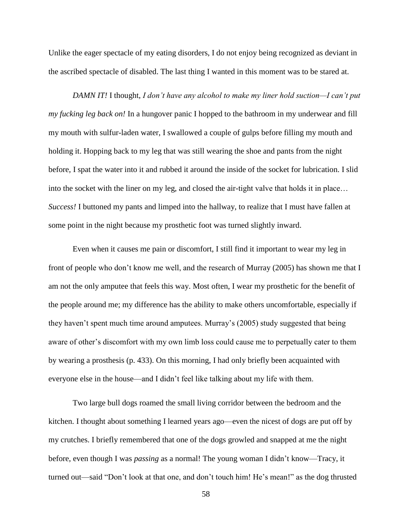Unlike the eager spectacle of my eating disorders, I do not enjoy being recognized as deviant in the ascribed spectacle of disabled. The last thing I wanted in this moment was to be stared at.

*DAMN IT!* I thought, *I don't have any alcohol to make my liner hold suction—I can't put my fucking leg back on!* In a hungover panic I hopped to the bathroom in my underwear and fill my mouth with sulfur-laden water, I swallowed a couple of gulps before filling my mouth and holding it. Hopping back to my leg that was still wearing the shoe and pants from the night before, I spat the water into it and rubbed it around the inside of the socket for lubrication. I slid into the socket with the liner on my leg, and closed the air-tight valve that holds it in place… *Success!* I buttoned my pants and limped into the hallway, to realize that I must have fallen at some point in the night because my prosthetic foot was turned slightly inward.

Even when it causes me pain or discomfort, I still find it important to wear my leg in front of people who don't know me well, and the research of Murray (2005) has shown me that I am not the only amputee that feels this way. Most often, I wear my prosthetic for the benefit of the people around me; my difference has the ability to make others uncomfortable, especially if they haven't spent much time around amputees. Murray's (2005) study suggested that being aware of other's discomfort with my own limb loss could cause me to perpetually cater to them by wearing a prosthesis (p. 433). On this morning, I had only briefly been acquainted with everyone else in the house—and I didn't feel like talking about my life with them.

Two large bull dogs roamed the small living corridor between the bedroom and the kitchen. I thought about something I learned years ago—even the nicest of dogs are put off by my crutches. I briefly remembered that one of the dogs growled and snapped at me the night before, even though I was *passing* as a normal! The young woman I didn't know—Tracy, it turned out—said "Don't look at that one, and don't touch him! He's mean!" as the dog thrusted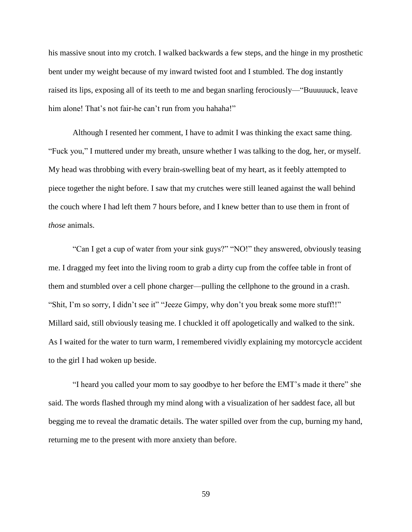his massive snout into my crotch. I walked backwards a few steps, and the hinge in my prosthetic bent under my weight because of my inward twisted foot and I stumbled. The dog instantly raised its lips, exposing all of its teeth to me and began snarling ferociously—"Buuuuuck, leave him alone! That's not fair-he can't run from you hahaha!"

Although I resented her comment, I have to admit I was thinking the exact same thing. "Fuck you," I muttered under my breath, unsure whether I was talking to the dog, her, or myself. My head was throbbing with every brain-swelling beat of my heart, as it feebly attempted to piece together the night before. I saw that my crutches were still leaned against the wall behind the couch where I had left them 7 hours before, and I knew better than to use them in front of *those* animals.

"Can I get a cup of water from your sink guys?" "NO!" they answered, obviously teasing me. I dragged my feet into the living room to grab a dirty cup from the coffee table in front of them and stumbled over a cell phone charger—pulling the cellphone to the ground in a crash. "Shit, I'm so sorry, I didn't see it" "Jeeze Gimpy, why don't you break some more stuff!!" Millard said, still obviously teasing me. I chuckled it off apologetically and walked to the sink. As I waited for the water to turn warm, I remembered vividly explaining my motorcycle accident to the girl I had woken up beside.

"I heard you called your mom to say goodbye to her before the EMT's made it there" she said. The words flashed through my mind along with a visualization of her saddest face, all but begging me to reveal the dramatic details. The water spilled over from the cup, burning my hand, returning me to the present with more anxiety than before.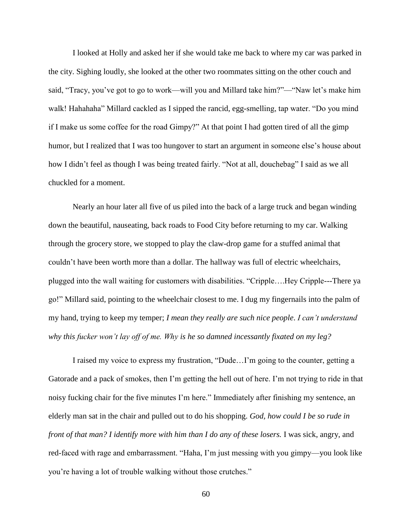I looked at Holly and asked her if she would take me back to where my car was parked in the city. Sighing loudly, she looked at the other two roommates sitting on the other couch and said, "Tracy, you've got to go to work—will you and Millard take him?"—"Naw let's make him walk! Hahahaha" Millard cackled as I sipped the rancid, egg-smelling, tap water. "Do you mind if I make us some coffee for the road Gimpy?" At that point I had gotten tired of all the gimp humor, but I realized that I was too hungover to start an argument in someone else's house about how I didn't feel as though I was being treated fairly. "Not at all, douchebag" I said as we all chuckled for a moment.

Nearly an hour later all five of us piled into the back of a large truck and began winding down the beautiful, nauseating, back roads to Food City before returning to my car. Walking through the grocery store, we stopped to play the claw-drop game for a stuffed animal that couldn't have been worth more than a dollar. The hallway was full of electric wheelchairs, plugged into the wall waiting for customers with disabilities. "Cripple….Hey Cripple---There ya go!" Millard said, pointing to the wheelchair closest to me. I dug my fingernails into the palm of my hand, trying to keep my temper; *I mean they really are such nice people*. *I can't understand why this fucker won't lay off of me. Why is he so damned incessantly fixated on my leg?*

I raised my voice to express my frustration, "Dude…I'm going to the counter, getting a Gatorade and a pack of smokes, then I'm getting the hell out of here. I'm not trying to ride in that noisy fucking chair for the five minutes I'm here." Immediately after finishing my sentence, an elderly man sat in the chair and pulled out to do his shopping. *God, how could I be so rude in front of that man? I identify more with him than I do any of these losers.* I was sick, angry, and red-faced with rage and embarrassment. "Haha, I'm just messing with you gimpy—you look like you're having a lot of trouble walking without those crutches."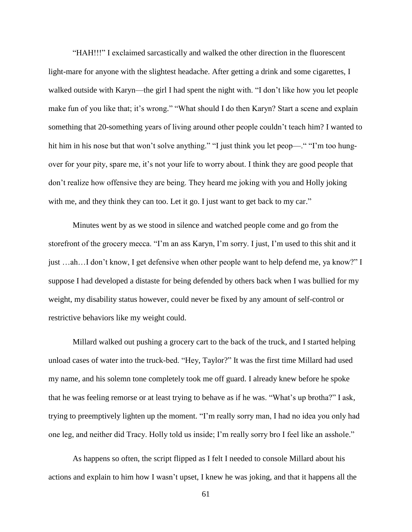"HAH!!!" I exclaimed sarcastically and walked the other direction in the fluorescent light-mare for anyone with the slightest headache. After getting a drink and some cigarettes, I walked outside with Karyn—the girl I had spent the night with. "I don't like how you let people make fun of you like that; it's wrong." "What should I do then Karyn? Start a scene and explain something that 20-something years of living around other people couldn't teach him? I wanted to hit him in his nose but that won't solve anything." "I just think you let peop—." "I'm too hungover for your pity, spare me, it's not your life to worry about. I think they are good people that don't realize how offensive they are being. They heard me joking with you and Holly joking with me, and they think they can too. Let it go. I just want to get back to my car."

Minutes went by as we stood in silence and watched people come and go from the storefront of the grocery mecca. "I'm an ass Karyn, I'm sorry. I just, I'm used to this shit and it just …ah…I don't know, I get defensive when other people want to help defend me, ya know?" I suppose I had developed a distaste for being defended by others back when I was bullied for my weight, my disability status however, could never be fixed by any amount of self-control or restrictive behaviors like my weight could.

Millard walked out pushing a grocery cart to the back of the truck, and I started helping unload cases of water into the truck-bed. "Hey, Taylor?" It was the first time Millard had used my name, and his solemn tone completely took me off guard. I already knew before he spoke that he was feeling remorse or at least trying to behave as if he was. "What's up brotha?" I ask, trying to preemptively lighten up the moment. "I'm really sorry man, I had no idea you only had one leg, and neither did Tracy. Holly told us inside; I'm really sorry bro I feel like an asshole."

As happens so often, the script flipped as I felt I needed to console Millard about his actions and explain to him how I wasn't upset, I knew he was joking, and that it happens all the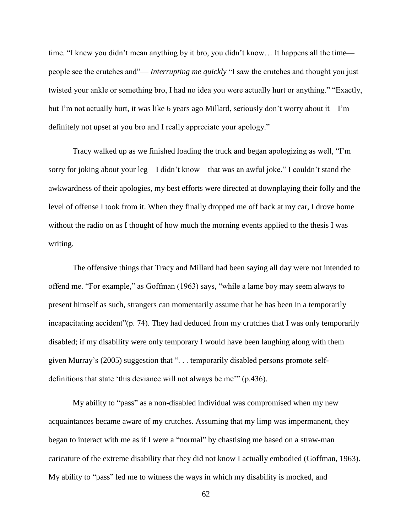time. "I knew you didn't mean anything by it bro, you didn't know… It happens all the time people see the crutches and"— *Interrupting me quickly* "I saw the crutches and thought you just twisted your ankle or something bro, I had no idea you were actually hurt or anything." "Exactly, but I'm not actually hurt, it was like 6 years ago Millard, seriously don't worry about it—I'm definitely not upset at you bro and I really appreciate your apology."

Tracy walked up as we finished loading the truck and began apologizing as well, "I'm sorry for joking about your leg—I didn't know—that was an awful joke." I couldn't stand the awkwardness of their apologies, my best efforts were directed at downplaying their folly and the level of offense I took from it. When they finally dropped me off back at my car, I drove home without the radio on as I thought of how much the morning events applied to the thesis I was writing.

The offensive things that Tracy and Millard had been saying all day were not intended to offend me. "For example," as Goffman (1963) says, "while a lame boy may seem always to present himself as such, strangers can momentarily assume that he has been in a temporarily incapacitating accident" (p. 74). They had deduced from my crutches that I was only temporarily disabled; if my disability were only temporary I would have been laughing along with them given Murray's (2005) suggestion that ". . . temporarily disabled persons promote selfdefinitions that state 'this deviance will not always be me'" (p.436).

My ability to "pass" as a non-disabled individual was compromised when my new acquaintances became aware of my crutches. Assuming that my limp was impermanent, they began to interact with me as if I were a "normal" by chastising me based on a straw-man caricature of the extreme disability that they did not know I actually embodied (Goffman, 1963). My ability to "pass" led me to witness the ways in which my disability is mocked, and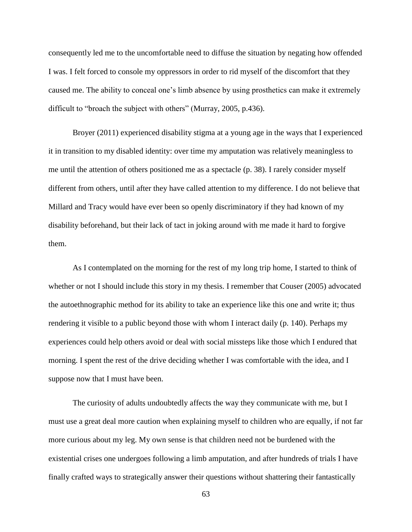consequently led me to the uncomfortable need to diffuse the situation by negating how offended I was. I felt forced to console my oppressors in order to rid myself of the discomfort that they caused me. The ability to conceal one's limb absence by using prosthetics can make it extremely difficult to "broach the subject with others" (Murray, 2005, p.436).

Broyer (2011) experienced disability stigma at a young age in the ways that I experienced it in transition to my disabled identity: over time my amputation was relatively meaningless to me until the attention of others positioned me as a spectacle (p. 38). I rarely consider myself different from others, until after they have called attention to my difference. I do not believe that Millard and Tracy would have ever been so openly discriminatory if they had known of my disability beforehand, but their lack of tact in joking around with me made it hard to forgive them.

As I contemplated on the morning for the rest of my long trip home, I started to think of whether or not I should include this story in my thesis. I remember that Couser (2005) advocated the autoethnographic method for its ability to take an experience like this one and write it; thus rendering it visible to a public beyond those with whom I interact daily (p. 140). Perhaps my experiences could help others avoid or deal with social missteps like those which I endured that morning. I spent the rest of the drive deciding whether I was comfortable with the idea, and I suppose now that I must have been.

The curiosity of adults undoubtedly affects the way they communicate with me, but I must use a great deal more caution when explaining myself to children who are equally, if not far more curious about my leg. My own sense is that children need not be burdened with the existential crises one undergoes following a limb amputation, and after hundreds of trials I have finally crafted ways to strategically answer their questions without shattering their fantastically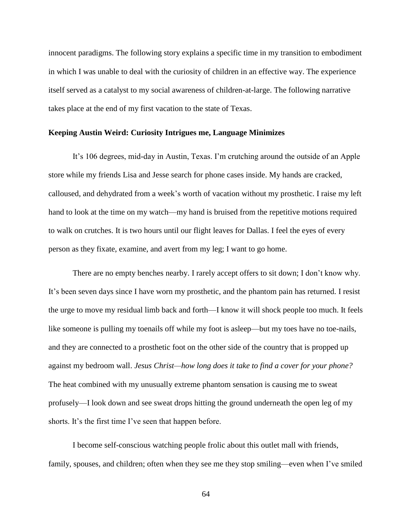innocent paradigms. The following story explains a specific time in my transition to embodiment in which I was unable to deal with the curiosity of children in an effective way. The experience itself served as a catalyst to my social awareness of children-at-large. The following narrative takes place at the end of my first vacation to the state of Texas.

### **Keeping Austin Weird: Curiosity Intrigues me, Language Minimizes**

It's 106 degrees, mid-day in Austin, Texas. I'm crutching around the outside of an Apple store while my friends Lisa and Jesse search for phone cases inside. My hands are cracked, calloused, and dehydrated from a week's worth of vacation without my prosthetic. I raise my left hand to look at the time on my watch—my hand is bruised from the repetitive motions required to walk on crutches. It is two hours until our flight leaves for Dallas. I feel the eyes of every person as they fixate, examine, and avert from my leg; I want to go home.

There are no empty benches nearby. I rarely accept offers to sit down; I don't know why. It's been seven days since I have worn my prosthetic, and the phantom pain has returned. I resist the urge to move my residual limb back and forth—I know it will shock people too much. It feels like someone is pulling my toenails off while my foot is asleep—but my toes have no toe-nails, and they are connected to a prosthetic foot on the other side of the country that is propped up against my bedroom wall. *Jesus Christ—how long does it take to find a cover for your phone?* The heat combined with my unusually extreme phantom sensation is causing me to sweat profusely—I look down and see sweat drops hitting the ground underneath the open leg of my shorts. It's the first time I've seen that happen before.

I become self-conscious watching people frolic about this outlet mall with friends, family, spouses, and children; often when they see me they stop smiling—even when I've smiled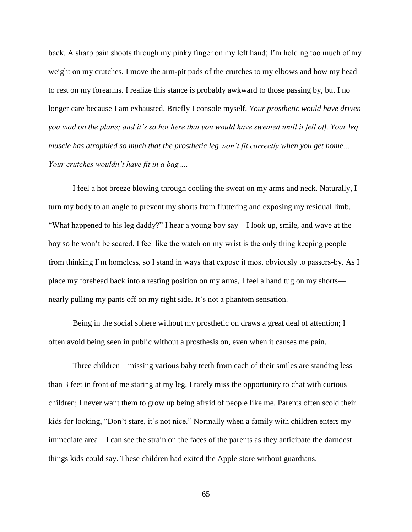back. A sharp pain shoots through my pinky finger on my left hand; I'm holding too much of my weight on my crutches. I move the arm-pit pads of the crutches to my elbows and bow my head to rest on my forearms. I realize this stance is probably awkward to those passing by, but I no longer care because I am exhausted. Briefly I console myself, *Your prosthetic would have driven you mad on the plane; and it's so hot here that you would have sweated until it fell off. Your leg muscle has atrophied so much that the prosthetic leg won't fit correctly when you get home… Your crutches wouldn't have fit in a bag….*

I feel a hot breeze blowing through cooling the sweat on my arms and neck. Naturally, I turn my body to an angle to prevent my shorts from fluttering and exposing my residual limb. "What happened to his leg daddy?" I hear a young boy say—I look up, smile, and wave at the boy so he won't be scared. I feel like the watch on my wrist is the only thing keeping people from thinking I'm homeless, so I stand in ways that expose it most obviously to passers-by. As I place my forehead back into a resting position on my arms, I feel a hand tug on my shorts nearly pulling my pants off on my right side. It's not a phantom sensation.

Being in the social sphere without my prosthetic on draws a great deal of attention; I often avoid being seen in public without a prosthesis on, even when it causes me pain.

Three children—missing various baby teeth from each of their smiles are standing less than 3 feet in front of me staring at my leg. I rarely miss the opportunity to chat with curious children; I never want them to grow up being afraid of people like me. Parents often scold their kids for looking, "Don't stare, it's not nice." Normally when a family with children enters my immediate area—I can see the strain on the faces of the parents as they anticipate the darndest things kids could say. These children had exited the Apple store without guardians.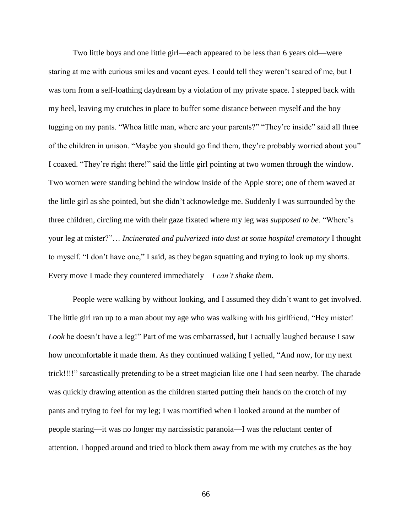Two little boys and one little girl—each appeared to be less than 6 years old—were staring at me with curious smiles and vacant eyes. I could tell they weren't scared of me, but I was torn from a self-loathing daydream by a violation of my private space. I stepped back with my heel, leaving my crutches in place to buffer some distance between myself and the boy tugging on my pants. "Whoa little man, where are your parents?" "They're inside" said all three of the children in unison. "Maybe you should go find them, they're probably worried about you" I coaxed. "They're right there!" said the little girl pointing at two women through the window. Two women were standing behind the window inside of the Apple store; one of them waved at the little girl as she pointed, but she didn't acknowledge me. Suddenly I was surrounded by the three children, circling me with their gaze fixated where my leg was *supposed to be*. "Where's your leg at mister?"… *Incinerated and pulverized into dust at some hospital crematory* I thought to myself. "I don't have one," I said, as they began squatting and trying to look up my shorts. Every move I made they countered immediately—*I can't shake them*.

People were walking by without looking, and I assumed they didn't want to get involved. The little girl ran up to a man about my age who was walking with his girlfriend, "Hey mister! *Look* he doesn't have a leg!" Part of me was embarrassed, but I actually laughed because I saw how uncomfortable it made them. As they continued walking I yelled, "And now, for my next trick!!!!" sarcastically pretending to be a street magician like one I had seen nearby. The charade was quickly drawing attention as the children started putting their hands on the crotch of my pants and trying to feel for my leg; I was mortified when I looked around at the number of people staring—it was no longer my narcissistic paranoia—I was the reluctant center of attention. I hopped around and tried to block them away from me with my crutches as the boy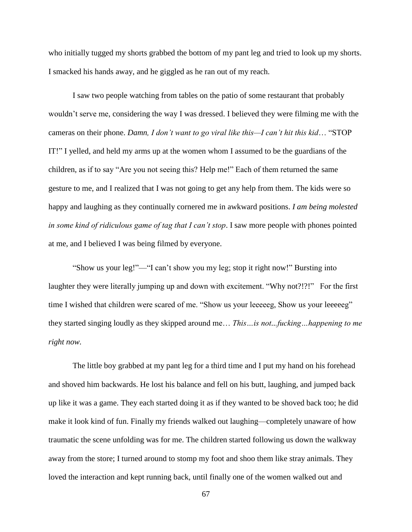who initially tugged my shorts grabbed the bottom of my pant leg and tried to look up my shorts. I smacked his hands away, and he giggled as he ran out of my reach.

I saw two people watching from tables on the patio of some restaurant that probably wouldn't serve me, considering the way I was dressed. I believed they were filming me with the cameras on their phone. *Damn, I don't want to go viral like this—I can't hit this kid*… "STOP IT!" I yelled, and held my arms up at the women whom I assumed to be the guardians of the children, as if to say "Are you not seeing this? Help me!" Each of them returned the same gesture to me, and I realized that I was not going to get any help from them. The kids were so happy and laughing as they continually cornered me in awkward positions. *I am being molested in some kind of ridiculous game of tag that I can't stop*. I saw more people with phones pointed at me, and I believed I was being filmed by everyone.

"Show us your leg!"—"I can't show you my leg; stop it right now!" Bursting into laughter they were literally jumping up and down with excitement. "Why not?!?!" For the first time I wished that children were scared of me. "Show us your leeeeeg, Show us your leeeeeg" they started singing loudly as they skipped around me… *This…is not...fucking…happening to me right now.*

The little boy grabbed at my pant leg for a third time and I put my hand on his forehead and shoved him backwards. He lost his balance and fell on his butt, laughing, and jumped back up like it was a game. They each started doing it as if they wanted to be shoved back too; he did make it look kind of fun. Finally my friends walked out laughing—completely unaware of how traumatic the scene unfolding was for me. The children started following us down the walkway away from the store; I turned around to stomp my foot and shoo them like stray animals. They loved the interaction and kept running back, until finally one of the women walked out and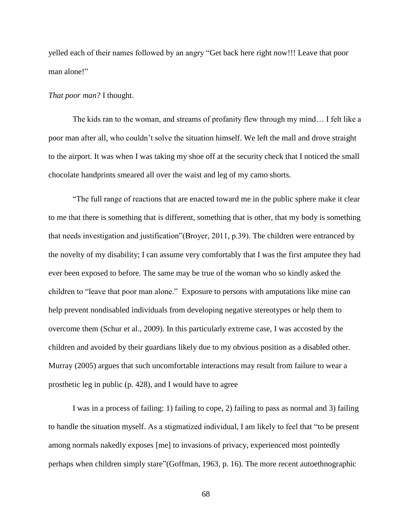yelled each of their names followed by an angry "Get back here right now!!! Leave that poor man alone!"

# *That poor man?* I thought.

The kids ran to the woman, and streams of profanity flew through my mind… I felt like a poor man after all, who couldn't solve the situation himself. We left the mall and drove straight to the airport. It was when I was taking my shoe off at the security check that I noticed the small chocolate handprints smeared all over the waist and leg of my camo shorts.

"The full range of reactions that are enacted toward me in the public sphere make it clear to me that there is something that is different, something that is other, that my body is something that needs investigation and justification"(Broyer, 2011, p.39). The children were entranced by the novelty of my disability; I can assume very comfortably that I was the first amputee they had ever been exposed to before. The same may be true of the woman who so kindly asked the children to "leave that poor man alone." Exposure to persons with amputations like mine can help prevent nondisabled individuals from developing negative stereotypes or help them to overcome them (Schur et al., 2009). In this particularly extreme case, I was accosted by the children and avoided by their guardians likely due to my obvious position as a disabled other. Murray (2005) argues that such uncomfortable interactions may result from failure to wear a prosthetic leg in public (p. 428), and I would have to agree

I was in a process of failing: 1) failing to cope, 2) failing to pass as normal and 3) failing to handle the situation myself. As a stigmatized individual, I am likely to feel that "to be present among normals nakedly exposes [me] to invasions of privacy, experienced most pointedly perhaps when children simply stare"(Goffman, 1963, p. 16). The more recent autoethnographic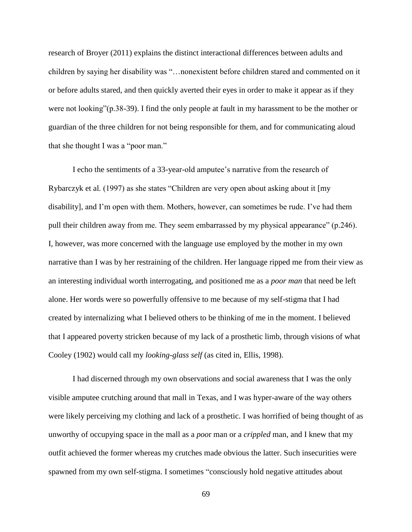research of Broyer (2011) explains the distinct interactional differences between adults and children by saying her disability was "…nonexistent before children stared and commented on it or before adults stared, and then quickly averted their eyes in order to make it appear as if they were not looking"(p.38-39). I find the only people at fault in my harassment to be the mother or guardian of the three children for not being responsible for them, and for communicating aloud that she thought I was a "poor man."

I echo the sentiments of a 33-year-old amputee's narrative from the research of Rybarczyk et al*.* (1997) as she states "Children are very open about asking about it [my disability], and I'm open with them. Mothers, however, can sometimes be rude. I've had them pull their children away from me. They seem embarrassed by my physical appearance" (p.246). I, however, was more concerned with the language use employed by the mother in my own narrative than I was by her restraining of the children. Her language ripped me from their view as an interesting individual worth interrogating, and positioned me as a *poor man* that need be left alone. Her words were so powerfully offensive to me because of my self-stigma that I had created by internalizing what I believed others to be thinking of me in the moment. I believed that I appeared poverty stricken because of my lack of a prosthetic limb, through visions of what Cooley (1902) would call my *looking-glass self* (as cited in, Ellis, 1998).

I had discerned through my own observations and social awareness that I was the only visible amputee crutching around that mall in Texas, and I was hyper-aware of the way others were likely perceiving my clothing and lack of a prosthetic. I was horrified of being thought of as unworthy of occupying space in the mall as a *poo*r man or a *crippled* man, and I knew that my outfit achieved the former whereas my crutches made obvious the latter. Such insecurities were spawned from my own self-stigma. I sometimes "consciously hold negative attitudes about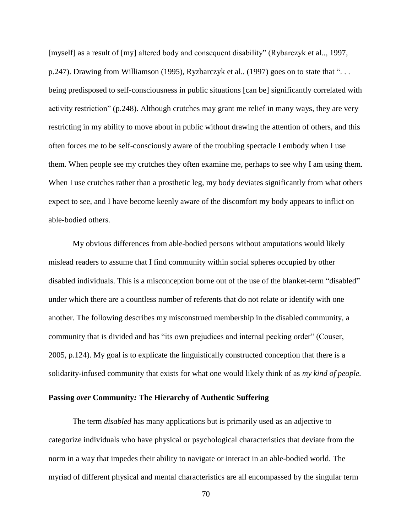[myself] as a result of [my] altered body and consequent disability" (Rybarczyk et al*..,* 1997, p.247). Drawing from Williamson (1995), Ryzbarczyk et al.. (1997) goes on to state that "... being predisposed to self-consciousness in public situations [can be] significantly correlated with activity restriction" (p.248). Although crutches may grant me relief in many ways, they are very restricting in my ability to move about in public without drawing the attention of others, and this often forces me to be self-consciously aware of the troubling spectacle I embody when I use them. When people see my crutches they often examine me, perhaps to see why I am using them. When I use crutches rather than a prosthetic leg, my body deviates significantly from what others expect to see, and I have become keenly aware of the discomfort my body appears to inflict on able-bodied others.

My obvious differences from able-bodied persons without amputations would likely mislead readers to assume that I find community within social spheres occupied by other disabled individuals. This is a misconception borne out of the use of the blanket-term "disabled" under which there are a countless number of referents that do not relate or identify with one another. The following describes my misconstrued membership in the disabled community, a community that is divided and has "its own prejudices and internal pecking order" (Couser, 2005, p.124). My goal is to explicate the linguistically constructed conception that there is a solidarity-infused community that exists for what one would likely think of as *my kind of people.*

# **Passing** *over* **Community***:* **The Hierarchy of Authentic Suffering**

The term *disabled* has many applications but is primarily used as an adjective to categorize individuals who have physical or psychological characteristics that deviate from the norm in a way that impedes their ability to navigate or interact in an able-bodied world. The myriad of different physical and mental characteristics are all encompassed by the singular term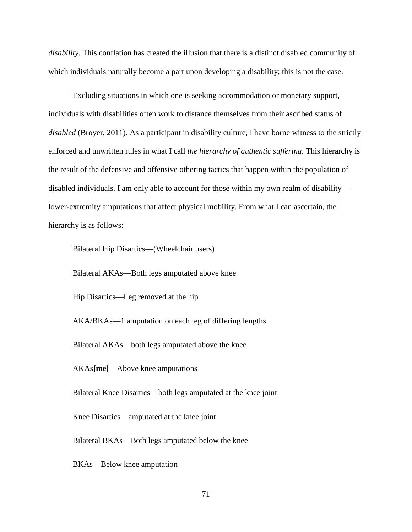*disability.* This conflation has created the illusion that there is a distinct disabled community of which individuals naturally become a part upon developing a disability; this is not the case.

Excluding situations in which one is seeking accommodation or monetary support, individuals with disabilities often work to distance themselves from their ascribed status of *disabled* (Broyer, 2011). As a participant in disability culture, I have borne witness to the strictly enforced and unwritten rules in what I call *the hierarchy of authentic suffering*. This hierarchy is the result of the defensive and offensive othering tactics that happen within the population of disabled individuals. I am only able to account for those within my own realm of disability lower-extremity amputations that affect physical mobility. From what I can ascertain, the hierarchy is as follows:

Bilateral Hip Disartics—(Wheelchair users)

Bilateral AKAs—Both legs amputated above knee

Hip Disartics—Leg removed at the hip

AKA/BKAs—1 amputation on each leg of differing lengths

Bilateral AKAs—both legs amputated above the knee

AKAs**[me]**—Above knee amputations

Bilateral Knee Disartics—both legs amputated at the knee joint

Knee Disartics—amputated at the knee joint

Bilateral BKAs—Both legs amputated below the knee

BKAs—Below knee amputation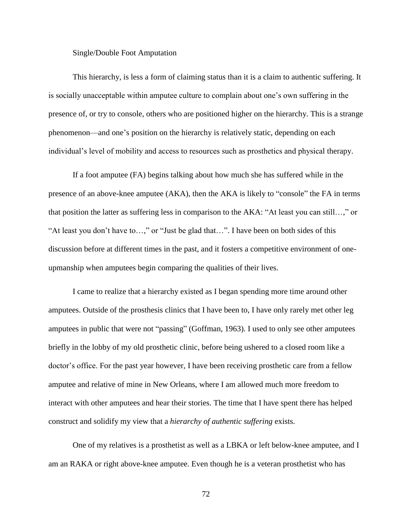#### Single/Double Foot Amputation

This hierarchy, is less a form of claiming status than it is a claim to authentic suffering. It is socially unacceptable within amputee culture to complain about one's own suffering in the presence of, or try to console, others who are positioned higher on the hierarchy. This is a strange phenomenon—and one's position on the hierarchy is relatively static, depending on each individual's level of mobility and access to resources such as prosthetics and physical therapy.

If a foot amputee (FA) begins talking about how much she has suffered while in the presence of an above-knee amputee (AKA), then the AKA is likely to "console" the FA in terms that position the latter as suffering less in comparison to the AKA: "At least you can still…," or "At least you don't have to…," or "Just be glad that…". I have been on both sides of this discussion before at different times in the past, and it fosters a competitive environment of oneupmanship when amputees begin comparing the qualities of their lives.

I came to realize that a hierarchy existed as I began spending more time around other amputees. Outside of the prosthesis clinics that I have been to, I have only rarely met other leg amputees in public that were not "passing" (Goffman, 1963). I used to only see other amputees briefly in the lobby of my old prosthetic clinic, before being ushered to a closed room like a doctor's office. For the past year however, I have been receiving prosthetic care from a fellow amputee and relative of mine in New Orleans, where I am allowed much more freedom to interact with other amputees and hear their stories. The time that I have spent there has helped construct and solidify my view that a *hierarchy of authentic suffering* exists.

One of my relatives is a prosthetist as well as a LBKA or left below-knee amputee, and I am an RAKA or right above-knee amputee. Even though he is a veteran prosthetist who has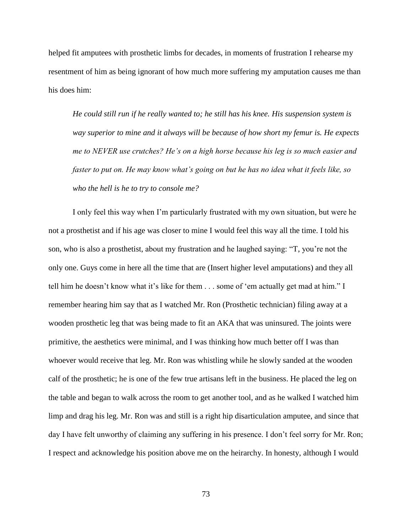helped fit amputees with prosthetic limbs for decades, in moments of frustration I rehearse my resentment of him as being ignorant of how much more suffering my amputation causes me than his does him:

*He could still run if he really wanted to; he still has his knee. His suspension system is way superior to mine and it always will be because of how short my femur is. He expects me to NEVER use crutches? He's on a high horse because his leg is so much easier and faster to put on. He may know what's going on but he has no idea what it feels like, so who the hell is he to try to console me?*

I only feel this way when I'm particularly frustrated with my own situation, but were he not a prosthetist and if his age was closer to mine I would feel this way all the time. I told his son, who is also a prosthetist, about my frustration and he laughed saying: "T, you're not the only one. Guys come in here all the time that are (Insert higher level amputations) and they all tell him he doesn't know what it's like for them . . . some of 'em actually get mad at him." I remember hearing him say that as I watched Mr. Ron (Prosthetic technician) filing away at a wooden prosthetic leg that was being made to fit an AKA that was uninsured. The joints were primitive, the aesthetics were minimal, and I was thinking how much better off I was than whoever would receive that leg. Mr. Ron was whistling while he slowly sanded at the wooden calf of the prosthetic; he is one of the few true artisans left in the business. He placed the leg on the table and began to walk across the room to get another tool, and as he walked I watched him limp and drag his leg. Mr. Ron was and still is a right hip disarticulation amputee, and since that day I have felt unworthy of claiming any suffering in his presence. I don't feel sorry for Mr. Ron; I respect and acknowledge his position above me on the heirarchy. In honesty, although I would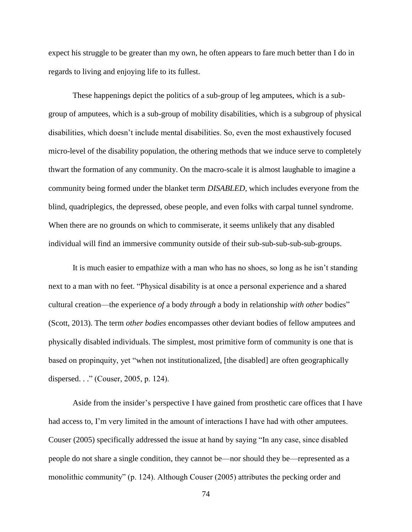expect his struggle to be greater than my own, he often appears to fare much better than I do in regards to living and enjoying life to its fullest.

These happenings depict the politics of a sub-group of leg amputees, which is a subgroup of amputees, which is a sub-group of mobility disabilities, which is a subgroup of physical disabilities, which doesn't include mental disabilities. So, even the most exhaustively focused micro-level of the disability population, the othering methods that we induce serve to completely thwart the formation of any community. On the macro-scale it is almost laughable to imagine a community being formed under the blanket term *DISABLED,* which includes everyone from the blind, quadriplegics, the depressed, obese people, and even folks with carpal tunnel syndrome. When there are no grounds on which to commiserate, it seems unlikely that any disabled individual will find an immersive community outside of their sub-sub-sub-sub-sub-groups.

It is much easier to empathize with a man who has no shoes, so long as he isn't standing next to a man with no feet. "Physical disability is at once a personal experience and a shared cultural creation—the experience *of* a body *through* a body in relationship *with other* bodies" (Scott, 2013). The term *other bodies* encompasses other deviant bodies of fellow amputees and physically disabled individuals. The simplest, most primitive form of community is one that is based on propinquity, yet "when not institutionalized, [the disabled] are often geographically dispersed. . ." (Couser, 2005, p. 124).

Aside from the insider's perspective I have gained from prosthetic care offices that I have had access to, I'm very limited in the amount of interactions I have had with other amputees. Couser (2005) specifically addressed the issue at hand by saying "In any case, since disabled people do not share a single condition, they cannot be—nor should they be—represented as a monolithic community" (p. 124). Although Couser (2005) attributes the pecking order and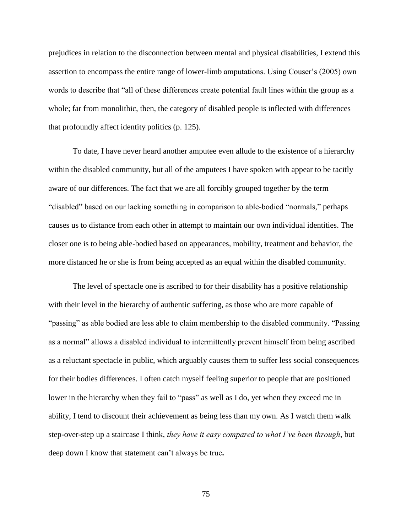prejudices in relation to the disconnection between mental and physical disabilities, I extend this assertion to encompass the entire range of lower-limb amputations. Using Couser's (2005) own words to describe that "all of these differences create potential fault lines within the group as a whole; far from monolithic, then, the category of disabled people is inflected with differences that profoundly affect identity politics (p. 125).

To date, I have never heard another amputee even allude to the existence of a hierarchy within the disabled community, but all of the amputees I have spoken with appear to be tacitly aware of our differences. The fact that we are all forcibly grouped together by the term "disabled" based on our lacking something in comparison to able-bodied "normals," perhaps causes us to distance from each other in attempt to maintain our own individual identities. The closer one is to being able-bodied based on appearances, mobility, treatment and behavior, the more distanced he or she is from being accepted as an equal within the disabled community.

The level of spectacle one is ascribed to for their disability has a positive relationship with their level in the hierarchy of authentic suffering, as those who are more capable of "passing" as able bodied are less able to claim membership to the disabled community. "Passing as a normal" allows a disabled individual to intermittently prevent himself from being ascribed as a reluctant spectacle in public, which arguably causes them to suffer less social consequences for their bodies differences. I often catch myself feeling superior to people that are positioned lower in the hierarchy when they fail to "pass" as well as I do, yet when they exceed me in ability, I tend to discount their achievement as being less than my own. As I watch them walk step-over-step up a staircase I think, *they have it easy compared to what I've been through*, but deep down I know that statement can't always be true**.**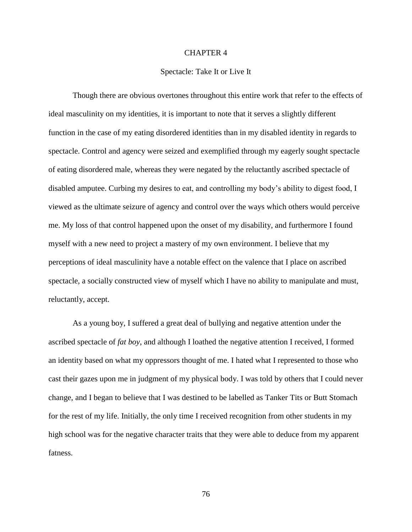#### CHAPTER 4

### Spectacle: Take It or Live It

Though there are obvious overtones throughout this entire work that refer to the effects of ideal masculinity on my identities, it is important to note that it serves a slightly different function in the case of my eating disordered identities than in my disabled identity in regards to spectacle. Control and agency were seized and exemplified through my eagerly sought spectacle of eating disordered male, whereas they were negated by the reluctantly ascribed spectacle of disabled amputee. Curbing my desires to eat, and controlling my body's ability to digest food, I viewed as the ultimate seizure of agency and control over the ways which others would perceive me. My loss of that control happened upon the onset of my disability, and furthermore I found myself with a new need to project a mastery of my own environment. I believe that my perceptions of ideal masculinity have a notable effect on the valence that I place on ascribed spectacle, a socially constructed view of myself which I have no ability to manipulate and must, reluctantly, accept.

As a young boy, I suffered a great deal of bullying and negative attention under the ascribed spectacle of *fat boy*, and although I loathed the negative attention I received, I formed an identity based on what my oppressors thought of me. I hated what I represented to those who cast their gazes upon me in judgment of my physical body. I was told by others that I could never change, and I began to believe that I was destined to be labelled as Tanker Tits or Butt Stomach for the rest of my life. Initially, the only time I received recognition from other students in my high school was for the negative character traits that they were able to deduce from my apparent fatness.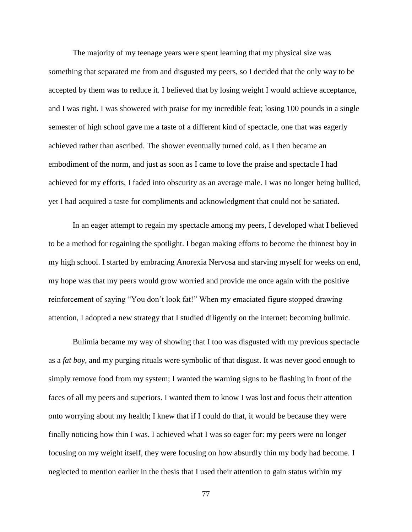The majority of my teenage years were spent learning that my physical size was something that separated me from and disgusted my peers, so I decided that the only way to be accepted by them was to reduce it. I believed that by losing weight I would achieve acceptance, and I was right. I was showered with praise for my incredible feat; losing 100 pounds in a single semester of high school gave me a taste of a different kind of spectacle, one that was eagerly achieved rather than ascribed. The shower eventually turned cold, as I then became an embodiment of the norm, and just as soon as I came to love the praise and spectacle I had achieved for my efforts, I faded into obscurity as an average male. I was no longer being bullied, yet I had acquired a taste for compliments and acknowledgment that could not be satiated.

In an eager attempt to regain my spectacle among my peers, I developed what I believed to be a method for regaining the spotlight. I began making efforts to become the thinnest boy in my high school. I started by embracing Anorexia Nervosa and starving myself for weeks on end, my hope was that my peers would grow worried and provide me once again with the positive reinforcement of saying "You don't look fat!" When my emaciated figure stopped drawing attention, I adopted a new strategy that I studied diligently on the internet: becoming bulimic.

Bulimia became my way of showing that I too was disgusted with my previous spectacle as a *fat boy*, and my purging rituals were symbolic of that disgust. It was never good enough to simply remove food from my system; I wanted the warning signs to be flashing in front of the faces of all my peers and superiors. I wanted them to know I was lost and focus their attention onto worrying about my health; I knew that if I could do that, it would be because they were finally noticing how thin I was. I achieved what I was so eager for: my peers were no longer focusing on my weight itself, they were focusing on how absurdly thin my body had become. I neglected to mention earlier in the thesis that I used their attention to gain status within my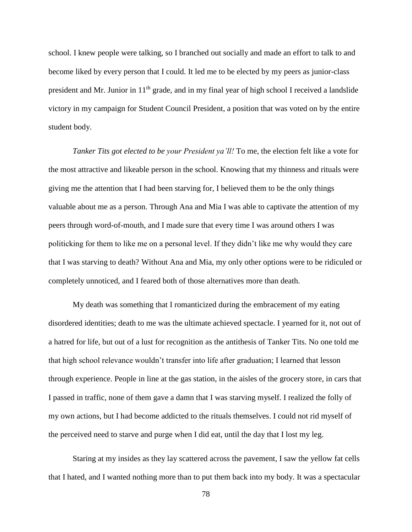school. I knew people were talking, so I branched out socially and made an effort to talk to and become liked by every person that I could. It led me to be elected by my peers as junior-class president and Mr. Junior in 11th grade, and in my final year of high school I received a landslide victory in my campaign for Student Council President, a position that was voted on by the entire student body.

*Tanker Tits got elected to be your President ya'll!* To me, the election felt like a vote for the most attractive and likeable person in the school. Knowing that my thinness and rituals were giving me the attention that I had been starving for, I believed them to be the only things valuable about me as a person. Through Ana and Mia I was able to captivate the attention of my peers through word-of-mouth, and I made sure that every time I was around others I was politicking for them to like me on a personal level. If they didn't like me why would they care that I was starving to death? Without Ana and Mia, my only other options were to be ridiculed or completely unnoticed, and I feared both of those alternatives more than death.

My death was something that I romanticized during the embracement of my eating disordered identities; death to me was the ultimate achieved spectacle. I yearned for it, not out of a hatred for life, but out of a lust for recognition as the antithesis of Tanker Tits. No one told me that high school relevance wouldn't transfer into life after graduation; I learned that lesson through experience. People in line at the gas station, in the aisles of the grocery store, in cars that I passed in traffic, none of them gave a damn that I was starving myself. I realized the folly of my own actions, but I had become addicted to the rituals themselves. I could not rid myself of the perceived need to starve and purge when I did eat, until the day that I lost my leg.

Staring at my insides as they lay scattered across the pavement, I saw the yellow fat cells that I hated, and I wanted nothing more than to put them back into my body. It was a spectacular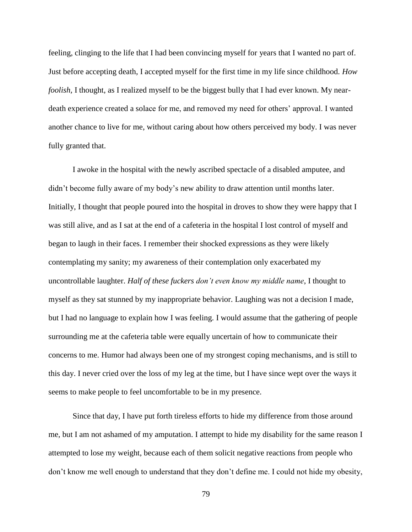feeling, clinging to the life that I had been convincing myself for years that I wanted no part of. Just before accepting death, I accepted myself for the first time in my life since childhood. *How foolish*, I thought, as I realized myself to be the biggest bully that I had ever known. My neardeath experience created a solace for me, and removed my need for others' approval. I wanted another chance to live for me, without caring about how others perceived my body. I was never fully granted that.

I awoke in the hospital with the newly ascribed spectacle of a disabled amputee, and didn't become fully aware of my body's new ability to draw attention until months later. Initially, I thought that people poured into the hospital in droves to show they were happy that I was still alive, and as I sat at the end of a cafeteria in the hospital I lost control of myself and began to laugh in their faces. I remember their shocked expressions as they were likely contemplating my sanity; my awareness of their contemplation only exacerbated my uncontrollable laughter. *Half of these fuckers don't even know my middle name*, I thought to myself as they sat stunned by my inappropriate behavior. Laughing was not a decision I made, but I had no language to explain how I was feeling. I would assume that the gathering of people surrounding me at the cafeteria table were equally uncertain of how to communicate their concerns to me. Humor had always been one of my strongest coping mechanisms, and is still to this day. I never cried over the loss of my leg at the time, but I have since wept over the ways it seems to make people to feel uncomfortable to be in my presence.

Since that day, I have put forth tireless efforts to hide my difference from those around me, but I am not ashamed of my amputation. I attempt to hide my disability for the same reason I attempted to lose my weight, because each of them solicit negative reactions from people who don't know me well enough to understand that they don't define me. I could not hide my obesity,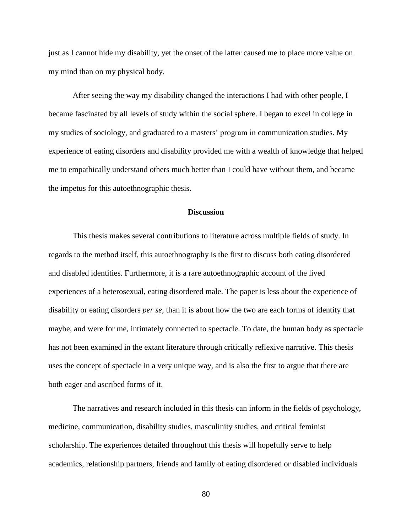just as I cannot hide my disability, yet the onset of the latter caused me to place more value on my mind than on my physical body.

After seeing the way my disability changed the interactions I had with other people, I became fascinated by all levels of study within the social sphere. I began to excel in college in my studies of sociology, and graduated to a masters' program in communication studies. My experience of eating disorders and disability provided me with a wealth of knowledge that helped me to empathically understand others much better than I could have without them, and became the impetus for this autoethnographic thesis.

## **Discussion**

This thesis makes several contributions to literature across multiple fields of study. In regards to the method itself, this autoethnography is the first to discuss both eating disordered and disabled identities. Furthermore, it is a rare autoethnographic account of the lived experiences of a heterosexual, eating disordered male. The paper is less about the experience of disability or eating disorders *per se*, than it is about how the two are each forms of identity that maybe, and were for me, intimately connected to spectacle. To date, the human body as spectacle has not been examined in the extant literature through critically reflexive narrative. This thesis uses the concept of spectacle in a very unique way, and is also the first to argue that there are both eager and ascribed forms of it.

The narratives and research included in this thesis can inform in the fields of psychology, medicine, communication, disability studies, masculinity studies, and critical feminist scholarship. The experiences detailed throughout this thesis will hopefully serve to help academics, relationship partners, friends and family of eating disordered or disabled individuals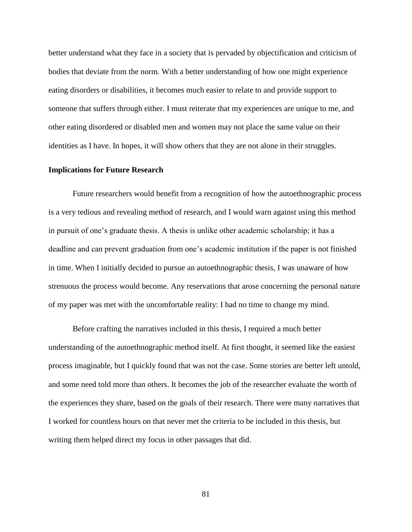better understand what they face in a society that is pervaded by objectification and criticism of bodies that deviate from the norm. With a better understanding of how one might experience eating disorders or disabilities, it becomes much easier to relate to and provide support to someone that suffers through either. I must reiterate that my experiences are unique to me, and other eating disordered or disabled men and women may not place the same value on their identities as I have. In hopes, it will show others that they are not alone in their struggles.

#### **Implications for Future Research**

Future researchers would benefit from a recognition of how the autoethnographic process is a very tedious and revealing method of research, and I would warn against using this method in pursuit of one's graduate thesis. A thesis is unlike other academic scholarship; it has a deadline and can prevent graduation from one's academic institution if the paper is not finished in time. When I initially decided to pursue an autoethnographic thesis, I was unaware of how strenuous the process would become. Any reservations that arose concerning the personal nature of my paper was met with the uncomfortable reality: I had no time to change my mind.

Before crafting the narratives included in this thesis, I required a much better understanding of the autoethnographic method itself. At first thought, it seemed like the easiest process imaginable, but I quickly found that was not the case. Some stories are better left untold, and some need told more than others. It becomes the job of the researcher evaluate the worth of the experiences they share, based on the goals of their research. There were many narratives that I worked for countless hours on that never met the criteria to be included in this thesis, but writing them helped direct my focus in other passages that did.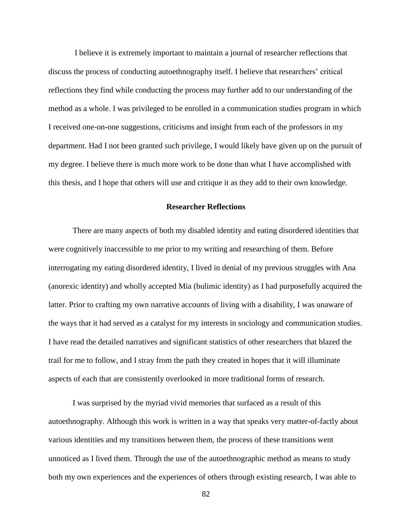I believe it is extremely important to maintain a journal of researcher reflections that discuss the process of conducting autoethnography itself. I believe that researchers' critical reflections they find while conducting the process may further add to our understanding of the method as a whole. I was privileged to be enrolled in a communication studies program in which I received one-on-one suggestions, criticisms and insight from each of the professors in my department. Had I not been granted such privilege, I would likely have given up on the pursuit of my degree. I believe there is much more work to be done than what I have accomplished with this thesis, and I hope that others will use and critique it as they add to their own knowledge.

### **Researcher Reflections**

There are many aspects of both my disabled identity and eating disordered identities that were cognitively inaccessible to me prior to my writing and researching of them. Before interrogating my eating disordered identity, I lived in denial of my previous struggles with Ana (anorexic identity) and wholly accepted Mia (bulimic identity) as I had purposefully acquired the latter. Prior to crafting my own narrative accounts of living with a disability, I was unaware of the ways that it had served as a catalyst for my interests in sociology and communication studies. I have read the detailed narratives and significant statistics of other researchers that blazed the trail for me to follow, and I stray from the path they created in hopes that it will illuminate aspects of each that are consistently overlooked in more traditional forms of research.

I was surprised by the myriad vivid memories that surfaced as a result of this autoethnography. Although this work is written in a way that speaks very matter-of-factly about various identities and my transitions between them, the process of these transitions went unnoticed as I lived them. Through the use of the autoethnographic method as means to study both my own experiences and the experiences of others through existing research, I was able to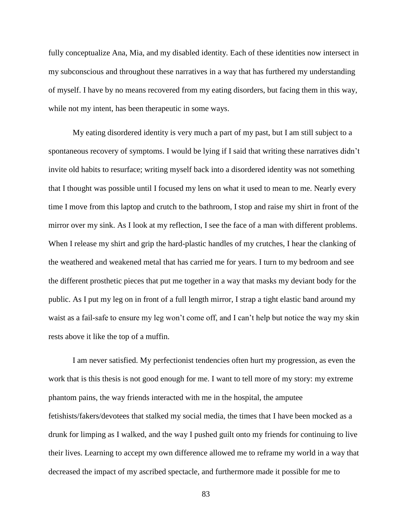fully conceptualize Ana, Mia, and my disabled identity. Each of these identities now intersect in my subconscious and throughout these narratives in a way that has furthered my understanding of myself. I have by no means recovered from my eating disorders, but facing them in this way, while not my intent, has been therapeutic in some ways.

My eating disordered identity is very much a part of my past, but I am still subject to a spontaneous recovery of symptoms. I would be lying if I said that writing these narratives didn't invite old habits to resurface; writing myself back into a disordered identity was not something that I thought was possible until I focused my lens on what it used to mean to me. Nearly every time I move from this laptop and crutch to the bathroom, I stop and raise my shirt in front of the mirror over my sink. As I look at my reflection, I see the face of a man with different problems. When I release my shirt and grip the hard-plastic handles of my crutches, I hear the clanking of the weathered and weakened metal that has carried me for years. I turn to my bedroom and see the different prosthetic pieces that put me together in a way that masks my deviant body for the public. As I put my leg on in front of a full length mirror, I strap a tight elastic band around my waist as a fail-safe to ensure my leg won't come off, and I can't help but notice the way my skin rests above it like the top of a muffin.

I am never satisfied. My perfectionist tendencies often hurt my progression, as even the work that is this thesis is not good enough for me. I want to tell more of my story: my extreme phantom pains, the way friends interacted with me in the hospital, the amputee fetishists/fakers/devotees that stalked my social media, the times that I have been mocked as a drunk for limping as I walked, and the way I pushed guilt onto my friends for continuing to live their lives. Learning to accept my own difference allowed me to reframe my world in a way that decreased the impact of my ascribed spectacle, and furthermore made it possible for me to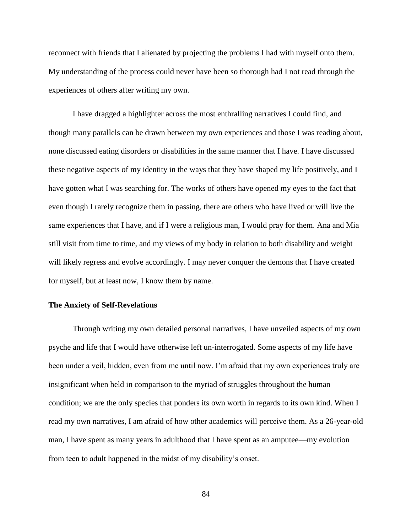reconnect with friends that I alienated by projecting the problems I had with myself onto them. My understanding of the process could never have been so thorough had I not read through the experiences of others after writing my own.

I have dragged a highlighter across the most enthralling narratives I could find, and though many parallels can be drawn between my own experiences and those I was reading about, none discussed eating disorders or disabilities in the same manner that I have. I have discussed these negative aspects of my identity in the ways that they have shaped my life positively, and I have gotten what I was searching for. The works of others have opened my eyes to the fact that even though I rarely recognize them in passing, there are others who have lived or will live the same experiences that I have, and if I were a religious man, I would pray for them. Ana and Mia still visit from time to time, and my views of my body in relation to both disability and weight will likely regress and evolve accordingly. I may never conquer the demons that I have created for myself, but at least now, I know them by name.

#### **The Anxiety of Self-Revelations**

Through writing my own detailed personal narratives, I have unveiled aspects of my own psyche and life that I would have otherwise left un-interrogated. Some aspects of my life have been under a veil, hidden, even from me until now. I'm afraid that my own experiences truly are insignificant when held in comparison to the myriad of struggles throughout the human condition; we are the only species that ponders its own worth in regards to its own kind. When I read my own narratives, I am afraid of how other academics will perceive them. As a 26-year-old man, I have spent as many years in adulthood that I have spent as an amputee—my evolution from teen to adult happened in the midst of my disability's onset.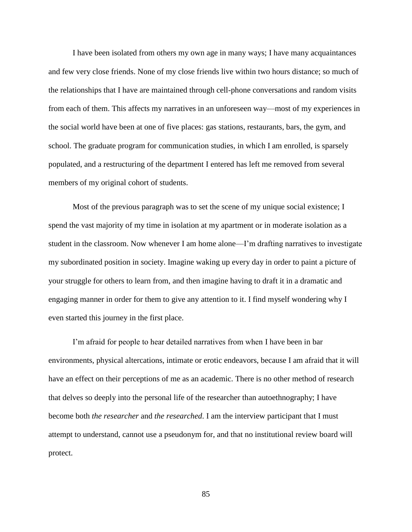I have been isolated from others my own age in many ways; I have many acquaintances and few very close friends. None of my close friends live within two hours distance; so much of the relationships that I have are maintained through cell-phone conversations and random visits from each of them. This affects my narratives in an unforeseen way—most of my experiences in the social world have been at one of five places: gas stations, restaurants, bars, the gym, and school. The graduate program for communication studies, in which I am enrolled, is sparsely populated, and a restructuring of the department I entered has left me removed from several members of my original cohort of students.

Most of the previous paragraph was to set the scene of my unique social existence; I spend the vast majority of my time in isolation at my apartment or in moderate isolation as a student in the classroom. Now whenever I am home alone—I'm drafting narratives to investigate my subordinated position in society. Imagine waking up every day in order to paint a picture of your struggle for others to learn from, and then imagine having to draft it in a dramatic and engaging manner in order for them to give any attention to it. I find myself wondering why I even started this journey in the first place.

I'm afraid for people to hear detailed narratives from when I have been in bar environments, physical altercations, intimate or erotic endeavors, because I am afraid that it will have an effect on their perceptions of me as an academic. There is no other method of research that delves so deeply into the personal life of the researcher than autoethnography; I have become both *the researcher* and *the researched*. I am the interview participant that I must attempt to understand, cannot use a pseudonym for, and that no institutional review board will protect.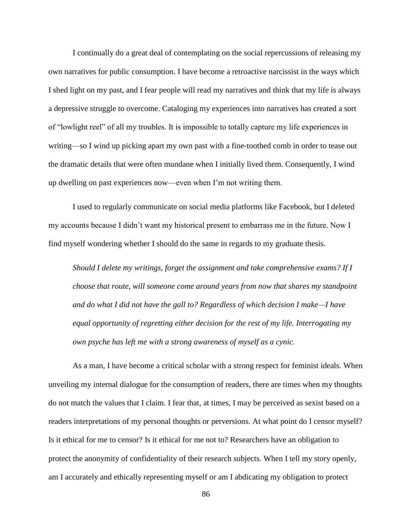I continually do a great deal of contemplating on the social repercussions of releasing my own narratives for public consumption. I have become a retroactive narcissist in the ways which I shed light on my past, and I fear people will read my narratives and think that my life is always a depressive struggle to overcome. Cataloging my experiences into narratives has created a sort of "lowlight reel" of all my troubles. It is impossible to totally capture my life experiences in writing—so I wind up picking apart my own past with a fine-toothed comb in order to tease out the dramatic details that were often mundane when I initially lived them. Consequently, I wind up dwelling on past experiences now—even when I'm not writing them.

I used to regularly communicate on social media platforms like Facebook, but I deleted my accounts because I didn't want my historical present to embarrass me in the future. Now I find myself wondering whether I should do the same in regards to my graduate thesis.

*Should I delete my writings, forget the assignment and take comprehensive exams? If I choose that route, will someone come around years from now that shares my standpoint and do what I did not have the gall to? Regardless of which decision I make—I have equal opportunity of regretting either decision for the rest of my life. Interrogating my own psyche has left me with a strong awareness of myself as a cynic.*

As a man, I have become a critical scholar with a strong respect for feminist ideals. When unveiling my internal dialogue for the consumption of readers, there are times when my thoughts do not match the values that I claim. I fear that, at times, I may be perceived as sexist based on a readers interpretations of my personal thoughts or perversions. At what point do I censor myself? Is it ethical for me to censor? Is it ethical for me not to? Researchers have an obligation to protect the anonymity of confidentiality of their research subjects. When I tell my story openly, am I accurately and ethically representing myself or am I abdicating my obligation to protect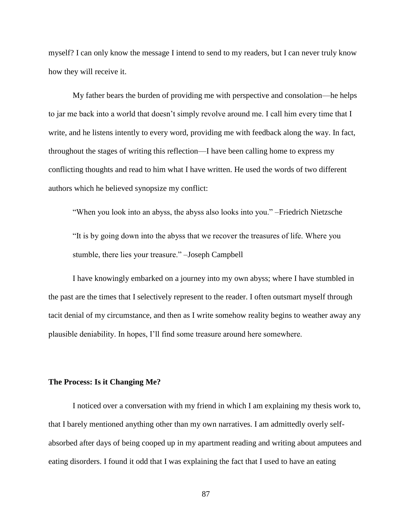myself? I can only know the message I intend to send to my readers, but I can never truly know how they will receive it.

My father bears the burden of providing me with perspective and consolation—he helps to jar me back into a world that doesn't simply revolve around me. I call him every time that I write, and he listens intently to every word, providing me with feedback along the way. In fact, throughout the stages of writing this reflection—I have been calling home to express my conflicting thoughts and read to him what I have written. He used the words of two different authors which he believed synopsize my conflict:

"When you look into an abyss, the abyss also looks into you." –Friedrich Nietzsche

"It is by going down into the abyss that we recover the treasures of life. Where you stumble, there lies your treasure." –Joseph Campbell

I have knowingly embarked on a journey into my own abyss; where I have stumbled in the past are the times that I selectively represent to the reader. I often outsmart myself through tacit denial of my circumstance, and then as I write somehow reality begins to weather away any plausible deniability. In hopes, I'll find some treasure around here somewhere.

### **The Process: Is it Changing Me?**

I noticed over a conversation with my friend in which I am explaining my thesis work to, that I barely mentioned anything other than my own narratives. I am admittedly overly selfabsorbed after days of being cooped up in my apartment reading and writing about amputees and eating disorders. I found it odd that I was explaining the fact that I used to have an eating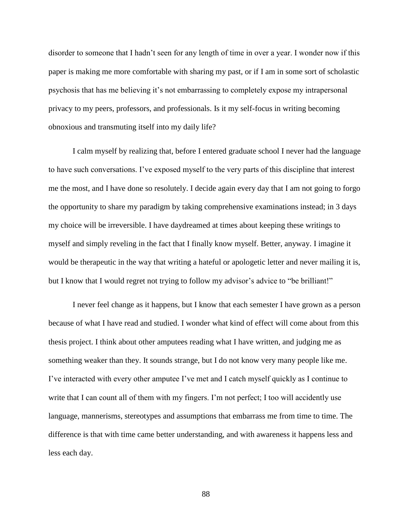disorder to someone that I hadn't seen for any length of time in over a year. I wonder now if this paper is making me more comfortable with sharing my past, or if I am in some sort of scholastic psychosis that has me believing it's not embarrassing to completely expose my intrapersonal privacy to my peers, professors, and professionals. Is it my self-focus in writing becoming obnoxious and transmuting itself into my daily life?

I calm myself by realizing that, before I entered graduate school I never had the language to have such conversations. I've exposed myself to the very parts of this discipline that interest me the most, and I have done so resolutely. I decide again every day that I am not going to forgo the opportunity to share my paradigm by taking comprehensive examinations instead; in 3 days my choice will be irreversible. I have daydreamed at times about keeping these writings to myself and simply reveling in the fact that I finally know myself. Better, anyway. I imagine it would be therapeutic in the way that writing a hateful or apologetic letter and never mailing it is, but I know that I would regret not trying to follow my advisor's advice to "be brilliant!"

I never feel change as it happens, but I know that each semester I have grown as a person because of what I have read and studied. I wonder what kind of effect will come about from this thesis project. I think about other amputees reading what I have written, and judging me as something weaker than they. It sounds strange, but I do not know very many people like me. I've interacted with every other amputee I've met and I catch myself quickly as I continue to write that I can count all of them with my fingers. I'm not perfect; I too will accidently use language, mannerisms, stereotypes and assumptions that embarrass me from time to time. The difference is that with time came better understanding, and with awareness it happens less and less each day.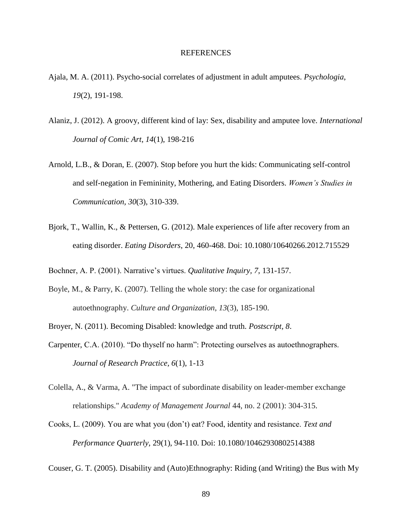#### REFERENCES

- Ajala, M. A. (2011). Psycho-social correlates of adjustment in adult amputees. *Psychologia*, *19*(2), 191-198.
- Alaniz, J. (2012). A groovy, different kind of lay: Sex, disability and amputee love. *International Journal of Comic Art*, *14*(1), 198-216
- Arnold, L.B., & Doran, E. (2007). Stop before you hurt the kids: Communicating self-control and self-negation in Femininity, Mothering, and Eating Disorders. *Women's Studies in Communication, 30*(3), 310-339.
- Bjork, T., Wallin, K., & Pettersen, G. (2012). Male experiences of life after recovery from an eating disorder. *Eating Disorders*, 20, 460-468. Doi: 10.1080/10640266.2012.715529
- Bochner, A. P. (2001). Narrative's virtues. *Qualitative Inquiry, 7*, 131-157.
- Boyle, M., & Parry, K. (2007). Telling the whole story: the case for organizational autoethnography. *Culture and Organization*, *13*(3), 185-190.
- Broyer, N. (2011). Becoming Disabled: knowledge and truth. *Postscript, 8*.
- Carpenter, C.A. (2010). "Do thyself no harm": Protecting ourselves as autoethnographers. *Journal of Research Practice, 6*(1), 1-13
- Colella, A., & Varma, A. "The impact of subordinate disability on leader-member exchange relationships." *Academy of Management Journal* 44, no. 2 (2001): 304-315.
- Cooks, L. (2009). You are what you (don't) eat? Food, identity and resistance. *Text and Performance Quarterly,* 29(1), 94-110. Doi: 10.1080/10462930802514388
- Couser, G. T. (2005). Disability and (Auto)Ethnography: Riding (and Writing) the Bus with My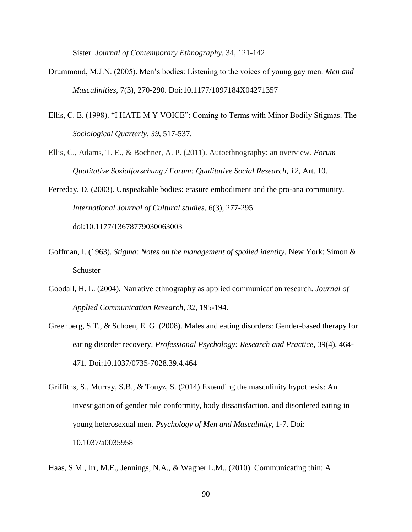Sister. *Journal of Contemporary Ethnography*, 34, 121-142

- Drummond, M.J.N. (2005). Men's bodies: Listening to the voices of young gay men. *Men and Masculinities*, 7(3), 270-290. Doi:10.1177/1097184X04271357
- Ellis, C. E. (1998). "I HATE M Y VOICE": Coming to Terms with Minor Bodily Stigmas. The *Sociological Quarterly, 39*, 517-537.
- Ellis, C., Adams, T. E., & Bochner, A. P. (2011). Autoethnography: an overview. *Forum Qualitative Sozialforschung / Forum: Qualitative Social Research*, *12*, Art. 10.

Ferreday, D. (2003). Unspeakable bodies: erasure embodiment and the pro-ana community. *International Journal of Cultural studies*, 6(3), 277-295. doi:10.1177/13678779030063003

- Goffman, I. (1963). *Stigma: Notes on the management of spoiled identity.* New York: Simon & Schuster
- Goodall, H. L. (2004). Narrative ethnography as applied communication research. *Journal of Applied Communication Research, 32,* 195-194.
- Greenberg, S.T., & Schoen, E. G. (2008). Males and eating disorders: Gender-based therapy for eating disorder recovery. *Professional Psychology: Research and Practice*, 39(4), 464- 471. Doi:10.1037/0735-7028.39.4.464
- Griffiths, S., Murray, S.B., & Touyz, S. (2014) Extending the masculinity hypothesis: An investigation of gender role conformity, body dissatisfaction, and disordered eating in young heterosexual men. *Psychology of Men and Masculinity,* 1-7. Doi: 10.1037/a0035958
- Haas, S.M., Irr, M.E., Jennings, N.A., & Wagner L.M., (2010). Communicating thin: A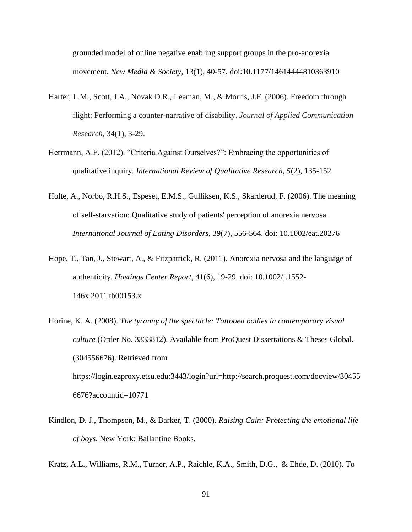grounded model of online negative enabling support groups in the pro-anorexia movement. *New Media & Society,* 13(1), 40-57. doi:10.1177/14614444810363910

- Harter, L.M., Scott, J.A., Novak D.R., Leeman, M., & Morris, J.F. (2006). Freedom through flight: Performing a counter-narrative of disability. *Journal of Applied Communication Research,* 34(1), 3-29.
- Herrmann, A.F. (2012). "Criteria Against Ourselves?": Embracing the opportunities of qualitative inquiry. *International Review of Qualitative Research, 5*(2), 135-152
- Holte, A., Norbo, R.H.S., Espeset, E.M.S., Gulliksen, K.S., Skarderud, F. (2006). The meaning of self-starvation: Qualitative study of patients' perception of anorexia nervosa. *International Journal of Eating Disorders*, 39(7), 556-564. doi: 10.1002/eat.20276
- Hope, T., Tan, J., Stewart, A., & Fitzpatrick, R. (2011). Anorexia nervosa and the language of authenticity. *Hastings Center Report*, 41(6), 19-29. doi: 10.1002/j.1552- 146x.2011.tb00153.x
- Horine, K. A. (2008). *The tyranny of the spectacle: Tattooed bodies in contemporary visual culture* (Order No. 3333812). Available from ProQuest Dissertations & Theses Global. (304556676). Retrieved from https://login.ezproxy.etsu.edu:3443/login?url=http://search.proquest.com/docview/30455

6676?accountid=10771

- Kindlon, D. J., Thompson, M., & Barker, T. (2000). *Raising Cain: Protecting the emotional life of boys*. New York: Ballantine Books.
- Kratz, A.L., Williams, R.M., Turner, A.P., Raichle, K.A., Smith, D.G., & Ehde, D. (2010). To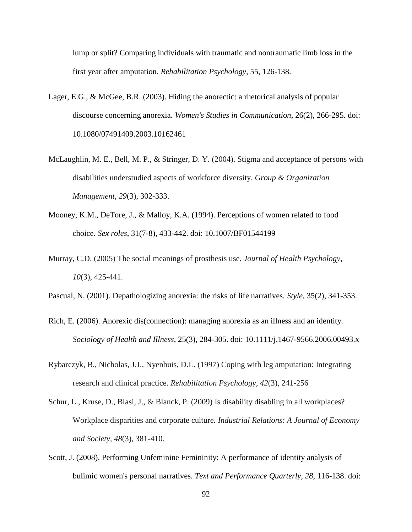lump or split? Comparing individuals with traumatic and nontraumatic limb loss in the first year after amputation. *Rehabilitation Psychology,* 55, 126-138.

- Lager, E.G., & McGee, B.R. (2003). Hiding the anorectic: a rhetorical analysis of popular discourse concerning anorexia. *Women's Studies in Communication*, 26(2), 266-295. doi: 10.1080/07491409.2003.10162461
- McLaughlin, M. E., Bell, M. P., & Stringer, D. Y. (2004). Stigma and acceptance of persons with disabilities understudied aspects of workforce diversity. *Group & Organization Management*, *29*(3), 302-333.
- Mooney, K.M., DeTore, J., & Malloy, K.A. (1994). Perceptions of women related to food choice. *Sex roles*, 31(7-8), 433-442. doi: 10.1007/BF01544199
- Murray, C.D. (2005) The social meanings of prosthesis use. *Journal of Health Psychology, 10*(3), 425-441.
- Pascual, N. (2001). Depathologizing anorexia: the risks of life narratives. *Style*, 35(2), 341-353.
- Rich, E. (2006). Anorexic dis(connection): managing anorexia as an illness and an identity. *Sociology of Health and Illness*, 25(3), 284-305. doi: 10.1111/j.1467-9566.2006.00493.x
- Rybarczyk, B., Nicholas, J.J., Nyenhuis, D.L. (1997) Coping with leg amputation: Integrating research and clinical practice. *Rehabilitation Psychology, 42*(3), 241-256
- Schur, L., Kruse, D., Blasi, J., & Blanck, P. (2009) Is disability disabling in all workplaces? Workplace disparities and corporate culture. *Industrial Relations: A Journal of Economy and Society, 48*(3), 381-410.
- Scott, J. (2008). Performing Unfeminine Femininity: A performance of identity analysis of bulimic women's personal narratives. *Text and Performance Quarterly, 28*, 116-138. doi: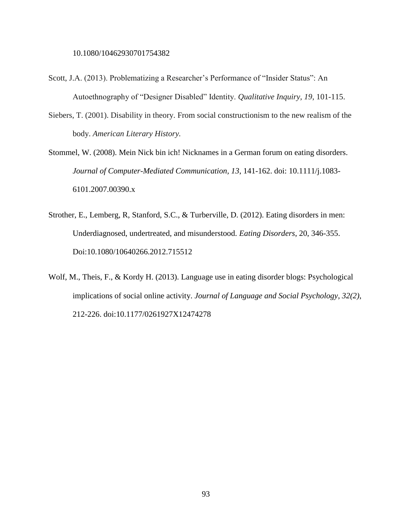10.1080/10462930701754382

- Scott, J.A. (2013). Problematizing a Researcher's Performance of "Insider Status": An Autoethnography of "Designer Disabled" Identity. *Qualitative Inquiry, 19*, 101-115.
- Siebers, T. (2001). Disability in theory. From social constructionism to the new realism of the body. *American Literary History.*
- Stommel, W. (2008). Mein Nick bin ich! Nicknames in a German forum on eating disorders. *Journal of Computer-Mediated Communication, 13*, 141-162. doi: 10.1111/j.1083- 6101.2007.00390.x
- Strother, E., Lemberg, R, Stanford, S.C., & Turberville, D. (2012). Eating disorders in men: Underdiagnosed, undertreated, and misunderstood. *Eating Disorders*, 20, 346-355. Doi:10.1080/10640266.2012.715512
- Wolf, M., Theis, F., & Kordy H. (2013). Language use in eating disorder blogs: Psychological implications of social online activity. *Journal of Language and Social Psychology*, *32(2)*, 212-226. doi:10.1177/0261927X12474278